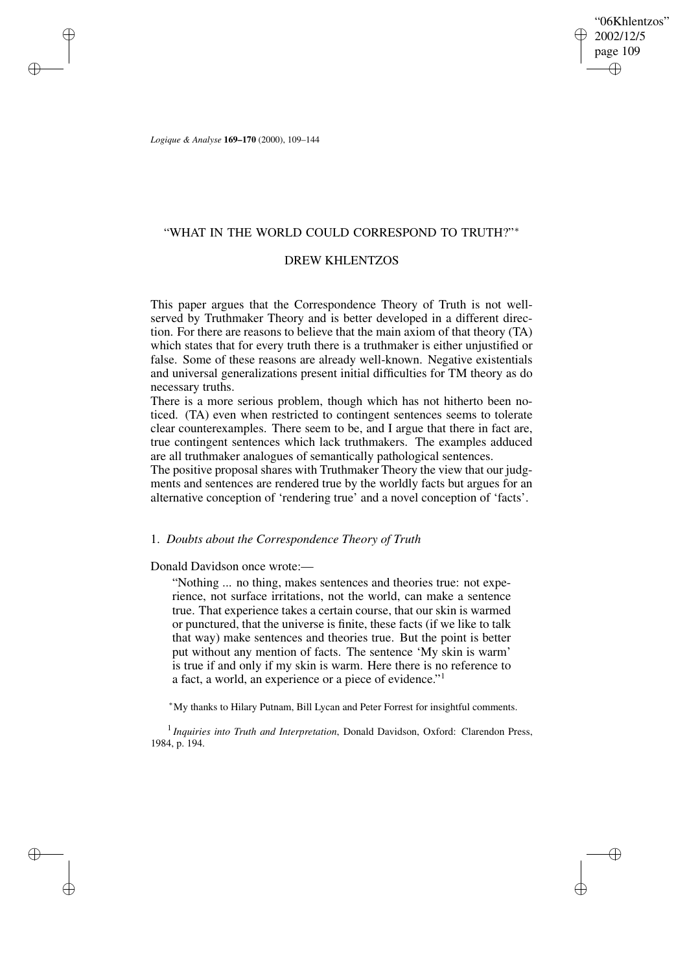"06Khlentzos" 2002/12/5 page 109 ✐ ✐

✐

✐

*Logique & Analyse* **169–170** (2000), 109–144

✐

✐

✐

✐

## "WHAT IN THE WORLD COULD CORRESPOND TO TRUTH?"<sup>∗</sup>

# DREW KHLENTZOS

This paper argues that the Correspondence Theory of Truth is not wellserved by Truthmaker Theory and is better developed in a different direction. For there are reasons to believe that the main axiom of that theory (TA) which states that for every truth there is a truthmaker is either unjustified or false. Some of these reasons are already well-known. Negative existentials and universal generalizations present initial difficulties for TM theory as do necessary truths.

There is a more serious problem, though which has not hitherto been noticed. (TA) even when restricted to contingent sentences seems to tolerate clear counterexamples. There seem to be, and I argue that there in fact are, true contingent sentences which lack truthmakers. The examples adduced are all truthmaker analogues of semantically pathological sentences.

The positive proposal shares with Truthmaker Theory the view that our judgments and sentences are rendered true by the worldly facts but argues for an alternative conception of 'rendering true' and a novel conception of 'facts'.

# 1. *Doubts about the Correspondence Theory of Truth*

## Donald Davidson once wrote:—

"Nothing ... no thing, makes sentences and theories true: not experience, not surface irritations, not the world, can make a sentence true. That experience takes a certain course, that our skin is warmed or punctured, that the universe is finite, these facts (if we like to talk that way) make sentences and theories true. But the point is better put without any mention of facts. The sentence 'My skin is warm' is true if and only if my skin is warm. Here there is no reference to a fact, a world, an experience or a piece of evidence."<sup>1</sup>

<sup>∗</sup>My thanks to Hilary Putnam, Bill Lycan and Peter Forrest for insightful comments.

1 *Inquiries into Truth and Interpretation*, Donald Davidson, Oxford: Clarendon Press, 1984, p. 194.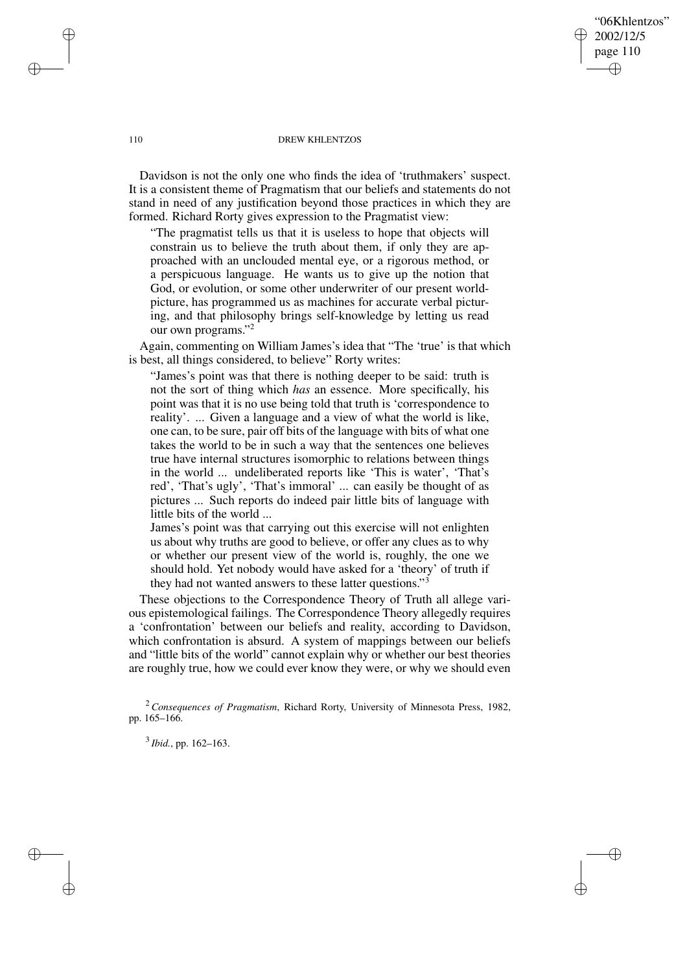## "06Khlentzos" 2002/12/5 page 110 ✐ ✐

✐

✐

## 110 DREW KHLENTZOS

Davidson is not the only one who finds the idea of 'truthmakers' suspect. It is a consistent theme of Pragmatism that our beliefs and statements do not stand in need of any justification beyond those practices in which they are formed. Richard Rorty gives expression to the Pragmatist view:

"The pragmatist tells us that it is useless to hope that objects will constrain us to believe the truth about them, if only they are approached with an unclouded mental eye, or a rigorous method, or a perspicuous language. He wants us to give up the notion that God, or evolution, or some other underwriter of our present worldpicture, has programmed us as machines for accurate verbal picturing, and that philosophy brings self-knowledge by letting us read our own programs." 2

Again, commenting on William James's idea that "The 'true' is that which is best, all things considered, to believe" Rorty writes:

"James's point was that there is nothing deeper to be said: truth is not the sort of thing which *has* an essence. More specifically, his point was that it is no use being told that truth is 'correspondence to reality'. ... Given a language and a view of what the world is like, one can, to be sure, pair off bits of the language with bits of what one takes the world to be in such a way that the sentences one believes true have internal structures isomorphic to relations between things in the world ... undeliberated reports like 'This is water', 'That's red', 'That's ugly', 'That's immoral' ... can easily be thought of as pictures ... Such reports do indeed pair little bits of language with little bits of the world ...

James's point was that carrying out this exercise will not enlighten us about why truths are good to believe, or offer any clues as to why or whether our present view of the world is, roughly, the one we should hold. Yet nobody would have asked for a 'theory' of truth if they had not wanted answers to these latter questions."<sup>3</sup>

These objections to the Correspondence Theory of Truth all allege various epistemological failings. The Correspondence Theory allegedly requires a 'confrontation' between our beliefs and reality, according to Davidson, which confrontation is absurd. A system of mappings between our beliefs and "little bits of the world" cannot explain why or whether our best theories are roughly true, how we could ever know they were, or why we should even

✐

✐

✐

<sup>2</sup> *Consequences of Pragmatism*, Richard Rorty, University of Minnesota Press, 1982, pp. 165–166.

<sup>3</sup> *Ibid.*, pp. 162–163.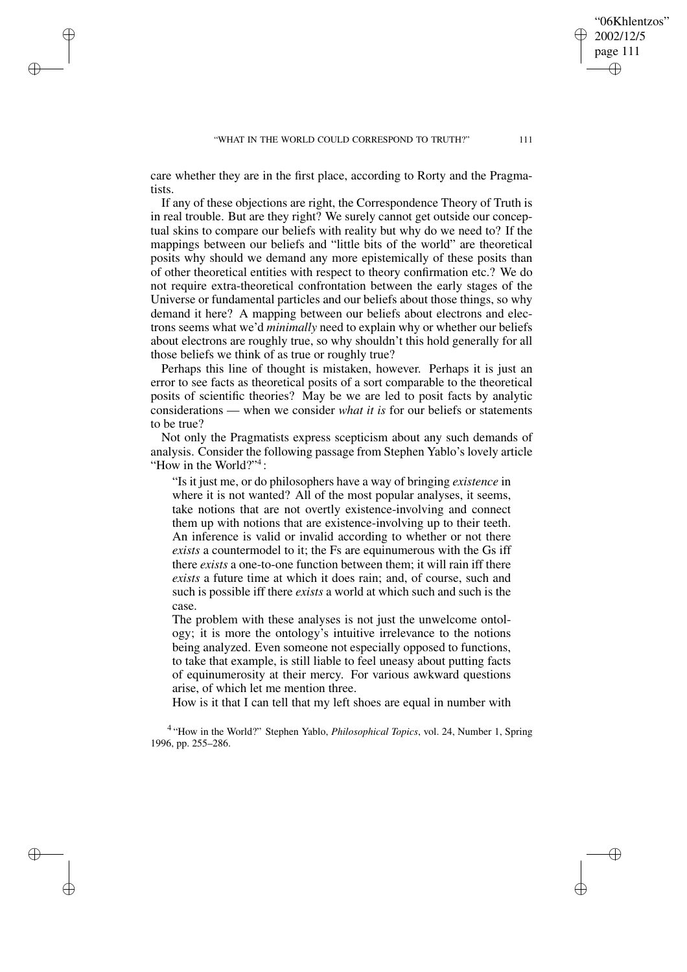#### "WHAT IN THE WORLD COULD CORRESPOND TO TRUTH?" 111

✐

✐

✐

✐

care whether they are in the first place, according to Rorty and the Pragmatists.

If any of these objections are right, the Correspondence Theory of Truth is in real trouble. But are they right? We surely cannot get outside our conceptual skins to compare our beliefs with reality but why do we need to? If the mappings between our beliefs and "little bits of the world" are theoretical posits why should we demand any more epistemically of these posits than of other theoretical entities with respect to theory confirmation etc.? We do not require extra-theoretical confrontation between the early stages of the Universe or fundamental particles and our beliefs about those things, so why demand it here? A mapping between our beliefs about electrons and electrons seems what we'd *minimally* need to explain why or whether our beliefs about electrons are roughly true, so why shouldn't this hold generally for all those beliefs we think of as true or roughly true?

Perhaps this line of thought is mistaken, however. Perhaps it is just an error to see facts as theoretical posits of a sort comparable to the theoretical posits of scientific theories? May be we are led to posit facts by analytic considerations — when we consider *what it is* for our beliefs or statements to be true?

Not only the Pragmatists express scepticism about any such demands of analysis. Consider the following passage from Stephen Yablo's lovely article "How in the World?"<sup>4</sup>:

"Is it just me, or do philosophers have a way of bringing *existence* in where it is not wanted? All of the most popular analyses, it seems, take notions that are not overtly existence-involving and connect them up with notions that are existence-involving up to their teeth. An inference is valid or invalid according to whether or not there *exists* a countermodel to it; the Fs are equinumerous with the Gs iff there *exists* a one-to-one function between them; it will rain iff there *exists* a future time at which it does rain; and, of course, such and such is possible iff there *exists* a world at which such and such is the case.

The problem with these analyses is not just the unwelcome ontology; it is more the ontology's intuitive irrelevance to the notions being analyzed. Even someone not especially opposed to functions, to take that example, is still liable to feel uneasy about putting facts of equinumerosity at their mercy. For various awkward questions arise, of which let me mention three.

How is it that I can tell that my left shoes are equal in number with

<sup>4</sup> "How in the World?" Stephen Yablo, *Philosophical Topics*, vol. 24, Number 1, Spring 1996, pp. 255–286.

"06Khlentzos" 2002/12/5 page 111

✐

✐

✐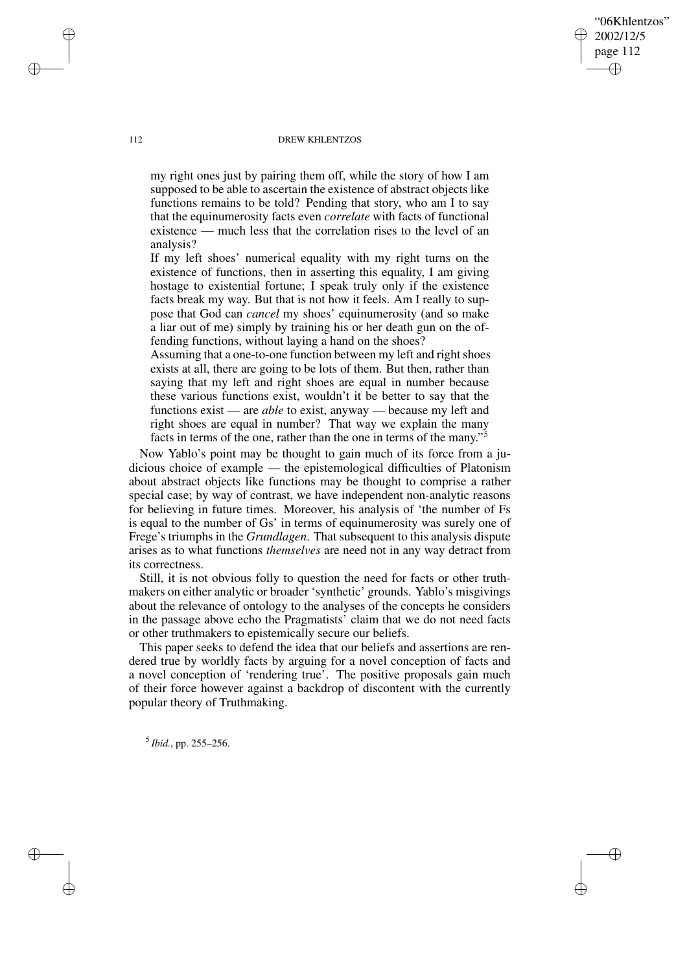## 112 DREW KHLENTZOS

"06Khlentzos" 2002/12/5 page 112

✐

✐

✐

✐

my right ones just by pairing them off, while the story of how I am supposed to be able to ascertain the existence of abstract objects like functions remains to be told? Pending that story, who am I to say that the equinumerosity facts even *correlate* with facts of functional existence — much less that the correlation rises to the level of an analysis?

If my left shoes' numerical equality with my right turns on the existence of functions, then in asserting this equality, I am giving hostage to existential fortune; I speak truly only if the existence facts break my way. But that is not how it feels. Am I really to suppose that God can *cancel* my shoes' equinumerosity (and so make a liar out of me) simply by training his or her death gun on the offending functions, without laying a hand on the shoes?

Assuming that a one-to-one function between my left and right shoes exists at all, there are going to be lots of them. But then, rather than saying that my left and right shoes are equal in number because these various functions exist, wouldn't it be better to say that the functions exist — are *able* to exist, anyway — because my left and right shoes are equal in number? That way we explain the many facts in terms of the one, rather than the one in terms of the many." 5

Now Yablo's point may be thought to gain much of its force from a judicious choice of example — the epistemological difficulties of Platonism about abstract objects like functions may be thought to comprise a rather special case; by way of contrast, we have independent non-analytic reasons for believing in future times. Moreover, his analysis of 'the number of Fs is equal to the number of Gs' in terms of equinumerosity was surely one of Frege's triumphs in the *Grundlagen*. That subsequent to this analysis dispute arises as to what functions *themselves* are need not in any way detract from its correctness.

Still, it is not obvious folly to question the need for facts or other truthmakers on either analytic or broader 'synthetic' grounds. Yablo's misgivings about the relevance of ontology to the analyses of the concepts he considers in the passage above echo the Pragmatists' claim that we do not need facts or other truthmakers to epistemically secure our beliefs.

This paper seeks to defend the idea that our beliefs and assertions are rendered true by worldly facts by arguing for a novel conception of facts and a novel conception of 'rendering true'. The positive proposals gain much of their force however against a backdrop of discontent with the currently popular theory of Truthmaking.

5 *Ibid.*, pp. 255–256.

✐

✐

✐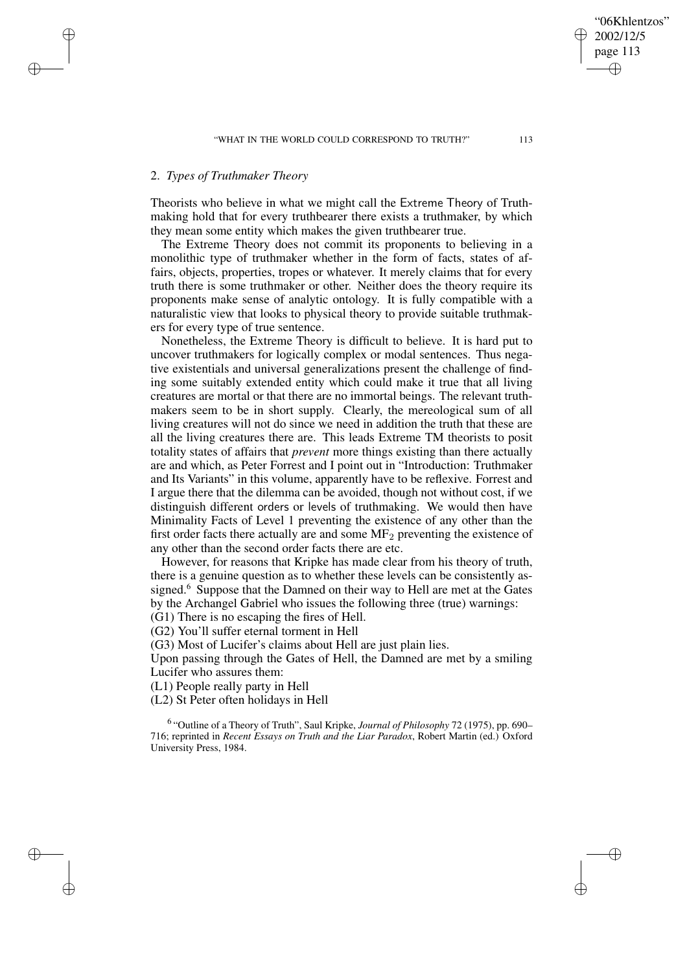# 2. *Types of Truthmaker Theory*

✐

✐

✐

✐

Theorists who believe in what we might call the Extreme Theory of Truthmaking hold that for every truthbearer there exists a truthmaker, by which they mean some entity which makes the given truthbearer true.

The Extreme Theory does not commit its proponents to believing in a monolithic type of truthmaker whether in the form of facts, states of affairs, objects, properties, tropes or whatever. It merely claims that for every truth there is some truthmaker or other. Neither does the theory require its proponents make sense of analytic ontology. It is fully compatible with a naturalistic view that looks to physical theory to provide suitable truthmakers for every type of true sentence.

Nonetheless, the Extreme Theory is difficult to believe. It is hard put to uncover truthmakers for logically complex or modal sentences. Thus negative existentials and universal generalizations present the challenge of finding some suitably extended entity which could make it true that all living creatures are mortal or that there are no immortal beings. The relevant truthmakers seem to be in short supply. Clearly, the mereological sum of all living creatures will not do since we need in addition the truth that these are all the living creatures there are. This leads Extreme TM theorists to posit totality states of affairs that *prevent* more things existing than there actually are and which, as Peter Forrest and I point out in "Introduction: Truthmaker and Its Variants" in this volume, apparently have to be reflexive. Forrest and I argue there that the dilemma can be avoided, though not without cost, if we distinguish different orders or levels of truthmaking. We would then have Minimality Facts of Level 1 preventing the existence of any other than the first order facts there actually are and some  $MF<sub>2</sub>$  preventing the existence of any other than the second order facts there are etc.

However, for reasons that Kripke has made clear from his theory of truth, there is a genuine question as to whether these levels can be consistently assigned.<sup>6</sup> Suppose that the Damned on their way to Hell are met at the Gates by the Archangel Gabriel who issues the following three (true) warnings:

(G1) There is no escaping the fires of Hell.

(G2) You'll suffer eternal torment in Hell

(G3) Most of Lucifer's claims about Hell are just plain lies.

Upon passing through the Gates of Hell, the Damned are met by a smiling Lucifer who assures them:

(L1) People really party in Hell

(L2) St Peter often holidays in Hell

6 "Outline of a Theory of Truth", Saul Kripke, *Journal of Philosophy* 72 (1975), pp. 690– 716; reprinted in *Recent Essays on Truth and the Liar Paradox*, Robert Martin (ed.) Oxford University Press, 1984.

"06Khlentzos" 2002/12/5 page 113

✐

✐

✐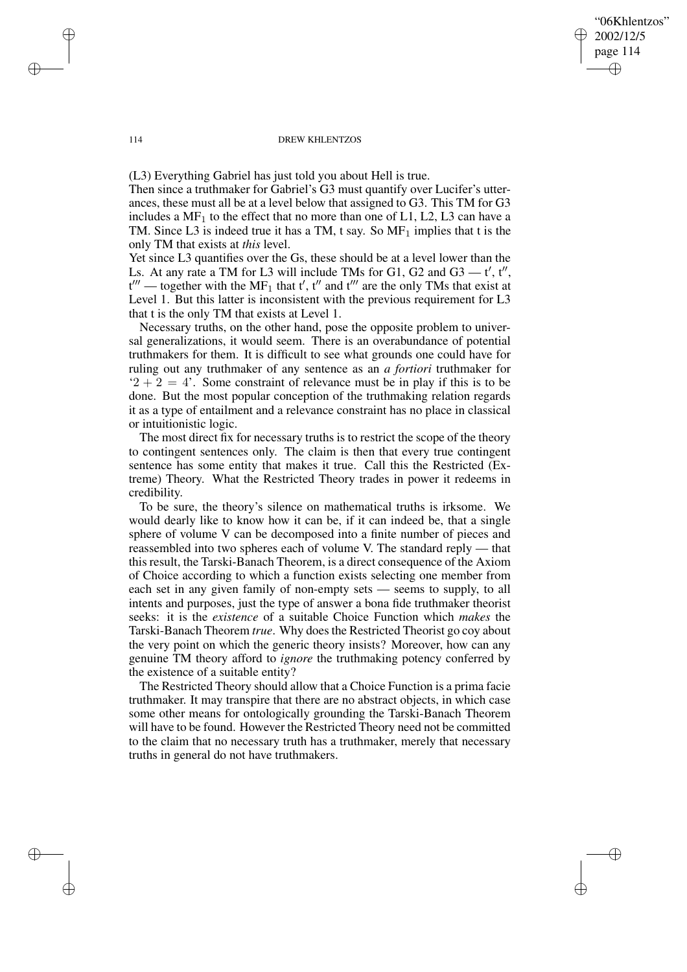2002/12/5 page 114 ✐ ✐

✐

✐

"06Khlentzos"

#### 114 DREW KHLENTZOS

(L3) Everything Gabriel has just told you about Hell is true.

Then since a truthmaker for Gabriel's G3 must quantify over Lucifer's utterances, these must all be at a level below that assigned to G3. This TM for G3 includes a  $MF_1$  to the effect that no more than one of L1, L2, L3 can have a TM. Since L3 is indeed true it has a TM, t say. So  $MF_1$  implies that t is the only TM that exists at *this* level.

Yet since L3 quantifies over the Gs, these should be at a level lower than the Ls. At any rate a TM for L3 will include TMs for G1, G2 and G3 —  $t'$ ,  $t''$ ,  $t'''$  — together with the MF<sub>1</sub> that  $t'$ ,  $t''$  and  $t'''$  are the only TMs that exist at Level 1. But this latter is inconsistent with the previous requirement for L3 that t is the only TM that exists at Level 1.

Necessary truths, on the other hand, pose the opposite problem to universal generalizations, it would seem. There is an overabundance of potential truthmakers for them. It is difficult to see what grounds one could have for ruling out any truthmaker of any sentence as an *a fortiori* truthmaker for  $2 + 2 = 4$ . Some constraint of relevance must be in play if this is to be done. But the most popular conception of the truthmaking relation regards it as a type of entailment and a relevance constraint has no place in classical or intuitionistic logic.

The most direct fix for necessary truths is to restrict the scope of the theory to contingent sentences only. The claim is then that every true contingent sentence has some entity that makes it true. Call this the Restricted (Extreme) Theory. What the Restricted Theory trades in power it redeems in credibility.

To be sure, the theory's silence on mathematical truths is irksome. We would dearly like to know how it can be, if it can indeed be, that a single sphere of volume V can be decomposed into a finite number of pieces and reassembled into two spheres each of volume V. The standard reply — that this result, the Tarski-Banach Theorem, is a direct consequence of the Axiom of Choice according to which a function exists selecting one member from each set in any given family of non-empty sets — seems to supply, to all intents and purposes, just the type of answer a bona fide truthmaker theorist seeks: it is the *existence* of a suitable Choice Function which *makes* the Tarski-Banach Theorem *true*. Why does the Restricted Theorist go coy about the very point on which the generic theory insists? Moreover, how can any genuine TM theory afford to *ignore* the truthmaking potency conferred by the existence of a suitable entity?

The Restricted Theory should allow that a Choice Function is a prima facie truthmaker. It may transpire that there are no abstract objects, in which case some other means for ontologically grounding the Tarski-Banach Theorem will have to be found. However the Restricted Theory need not be committed to the claim that no necessary truth has a truthmaker, merely that necessary truths in general do not have truthmakers.

✐

✐

✐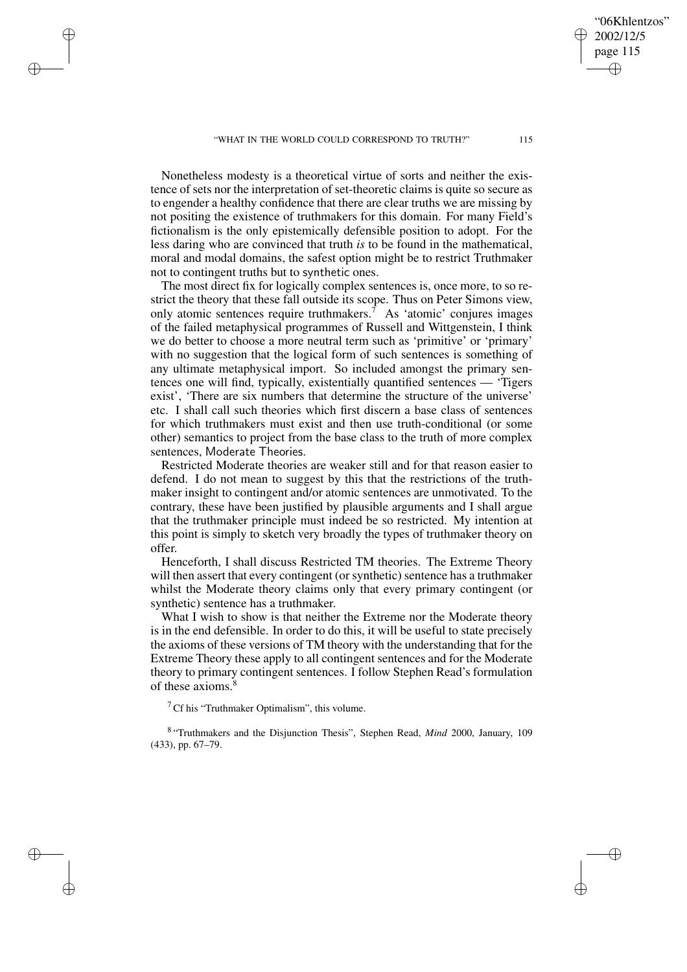✐

✐

✐

Nonetheless modesty is a theoretical virtue of sorts and neither the existence of sets nor the interpretation of set-theoretic claims is quite so secure as to engender a healthy confidence that there are clear truths we are missing by not positing the existence of truthmakers for this domain. For many Field's fictionalism is the only epistemically defensible position to adopt. For the less daring who are convinced that truth *is* to be found in the mathematical, moral and modal domains, the safest option might be to restrict Truthmaker not to contingent truths but to synthetic ones.

The most direct fix for logically complex sentences is, once more, to so restrict the theory that these fall outside its scope. Thus on Peter Simons view, only atomic sentences require truthmakers.<sup>7</sup> As 'atomic' conjures images of the failed metaphysical programmes of Russell and Wittgenstein, I think we do better to choose a more neutral term such as 'primitive' or 'primary' with no suggestion that the logical form of such sentences is something of any ultimate metaphysical import. So included amongst the primary sentences one will find, typically, existentially quantified sentences — 'Tigers exist', 'There are six numbers that determine the structure of the universe' etc. I shall call such theories which first discern a base class of sentences for which truthmakers must exist and then use truth-conditional (or some other) semantics to project from the base class to the truth of more complex sentences, Moderate Theories.

Restricted Moderate theories are weaker still and for that reason easier to defend. I do not mean to suggest by this that the restrictions of the truthmaker insight to contingent and/or atomic sentences are unmotivated. To the contrary, these have been justified by plausible arguments and I shall argue that the truthmaker principle must indeed be so restricted. My intention at this point is simply to sketch very broadly the types of truthmaker theory on offer.

Henceforth, I shall discuss Restricted TM theories. The Extreme Theory will then assert that every contingent (or synthetic) sentence has a truthmaker whilst the Moderate theory claims only that every primary contingent (or synthetic) sentence has a truthmaker.

What I wish to show is that neither the Extreme nor the Moderate theory is in the end defensible. In order to do this, it will be useful to state precisely the axioms of these versions of TM theory with the understanding that for the Extreme Theory these apply to all contingent sentences and for the Moderate theory to primary contingent sentences. I follow Stephen Read's formulation of these axioms.<sup>8</sup>

 $<sup>7</sup>$  Cf his "Truthmaker Optimalism", this volume.</sup>

8 "Truthmakers and the Disjunction Thesis", Stephen Read, *Mind* 2000, January, 109 (433), pp. 67–79.

"06Khlentzos" 2002/12/5 page 115

✐

✐

✐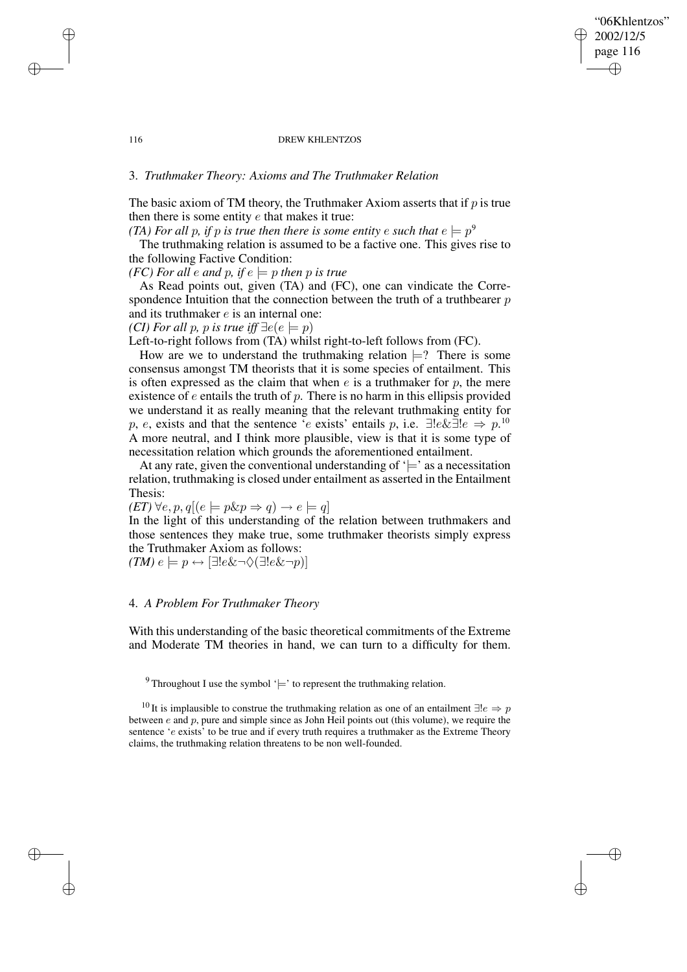## "06Khlentzos" 2002/12/5 page 116 ✐ ✐

✐

✐

## 116 DREW KHLENTZOS

# 3. *Truthmaker Theory: Axioms and The Truthmaker Relation*

The basic axiom of TM theory, the Truthmaker Axiom asserts that if  $p$  is true then there is some entity e that makes it true:

*(TA)* For all p, if p is true then there is some entity  $e$  such that  $e \models p^9$ 

The truthmaking relation is assumed to be a factive one. This gives rise to the following Factive Condition:

*(FC)* For all e and p, if  $e \models p$  then p is true

As Read points out, given (TA) and (FC), one can vindicate the Correspondence Intuition that the connection between the truth of a truthbearer  $p$ and its truthmaker e is an internal one:

*(CI) For all p, p is true iff*  $∃e(e ⊨ p)$ 

✐

✐

✐

✐

Left-to-right follows from (TA) whilst right-to-left follows from (FC).

How are we to understand the truthmaking relation  $\models$ ? There is some consensus amongst TM theorists that it is some species of entailment. This is often expressed as the claim that when  $e$  is a truthmaker for  $p$ , the mere existence of  $e$  entails the truth of  $p$ . There is no harm in this ellipsis provided we understand it as really meaning that the relevant truthmaking entity for p, e, exists and that the sentence 'e exists' entails p, i.e.  $\exists!e \& \exists!e \Rightarrow p$ .<sup>10</sup> A more neutral, and I think more plausible, view is that it is some type of necessitation relation which grounds the aforementioned entailment.

At any rate, given the conventional understanding of  $\equiv$  as a necessitation relation, truthmaking is closed under entailment as asserted in the Entailment Thesis:

 $(ET) \forall e, p, q$ [ $(e \models p \& p \Rightarrow q) \rightarrow e \models q$ ]

In the light of this understanding of the relation between truthmakers and those sentences they make true, some truthmaker theorists simply express the Truthmaker Axiom as follows:

 $(TM)$   $e \models p \leftrightarrow [\exists! e \& \neg \Diamond (\exists! e \& \neg p)]$ 

# 4. *A Problem For Truthmaker Theory*

With this understanding of the basic theoretical commitments of the Extreme and Moderate TM theories in hand, we can turn to a difficulty for them.

<sup>&</sup>lt;sup>9</sup> Throughout I use the symbol ' $\models$ ' to represent the truthmaking relation.

<sup>&</sup>lt;sup>10</sup> It is implausible to construe the truthmaking relation as one of an entailment  $\exists!e \Rightarrow p$ between  $e$  and  $p$ , pure and simple since as John Heil points out (this volume), we require the sentence 'e exists' to be true and if every truth requires a truthmaker as the Extreme Theory claims, the truthmaking relation threatens to be non well-founded.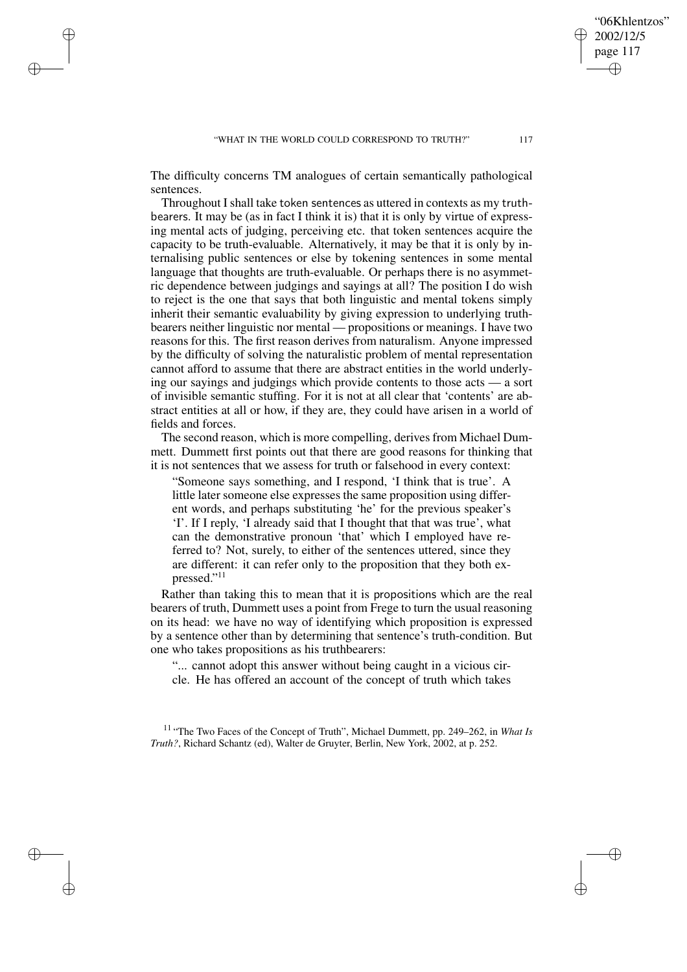✐

✐

✐

The difficulty concerns TM analogues of certain semantically pathological sentences.

Throughout I shall take token sentences as uttered in contexts as my truthbearers. It may be (as in fact I think it is) that it is only by virtue of expressing mental acts of judging, perceiving etc. that token sentences acquire the capacity to be truth-evaluable. Alternatively, it may be that it is only by internalising public sentences or else by tokening sentences in some mental language that thoughts are truth-evaluable. Or perhaps there is no asymmetric dependence between judgings and sayings at all? The position I do wish to reject is the one that says that both linguistic and mental tokens simply inherit their semantic evaluability by giving expression to underlying truthbearers neither linguistic nor mental — propositions or meanings. I have two reasons for this. The first reason derives from naturalism. Anyone impressed by the difficulty of solving the naturalistic problem of mental representation cannot afford to assume that there are abstract entities in the world underlying our sayings and judgings which provide contents to those acts — a sort of invisible semantic stuffing. For it is not at all clear that 'contents' are abstract entities at all or how, if they are, they could have arisen in a world of fields and forces.

The second reason, which is more compelling, derives from Michael Dummett. Dummett first points out that there are good reasons for thinking that it is not sentences that we assess for truth or falsehood in every context:

"Someone says something, and I respond, 'I think that is true'. A little later someone else expresses the same proposition using different words, and perhaps substituting 'he' for the previous speaker's 'I'. If I reply, 'I already said that I thought that that was true', what can the demonstrative pronoun 'that' which I employed have referred to? Not, surely, to either of the sentences uttered, since they are different: it can refer only to the proposition that they both expressed." 11

Rather than taking this to mean that it is propositions which are the real bearers of truth, Dummett uses a point from Frege to turn the usual reasoning on its head: we have no way of identifying which proposition is expressed by a sentence other than by determining that sentence's truth-condition. But one who takes propositions as his truthbearers:

"... cannot adopt this answer without being caught in a vicious circle. He has offered an account of the concept of truth which takes

<sup>11</sup> "The Two Faces of the Concept of Truth", Michael Dummett, pp. 249–262, in *What Is Truth?*, Richard Schantz (ed), Walter de Gruyter, Berlin, New York, 2002, at p. 252.

"06Khlentzos" 2002/12/5 page 117

✐

✐

✐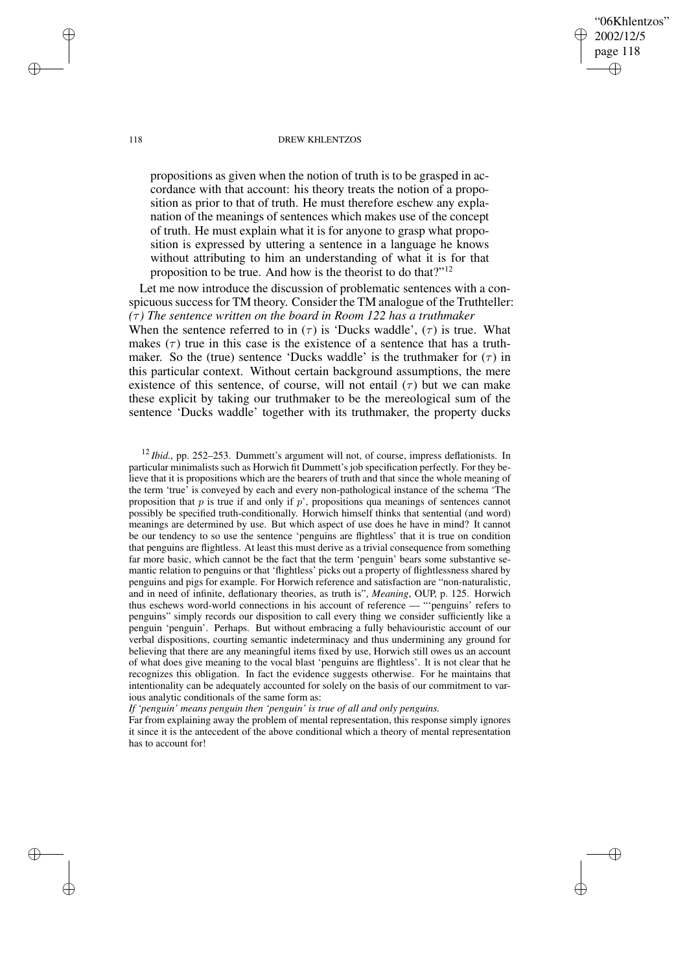#### 118 DREW KHLENTZOS

"06Khlentzos" 2002/12/5 page 118

✐

✐

✐

✐

propositions as given when the notion of truth is to be grasped in accordance with that account: his theory treats the notion of a proposition as prior to that of truth. He must therefore eschew any explanation of the meanings of sentences which makes use of the concept of truth. He must explain what it is for anyone to grasp what proposition is expressed by uttering a sentence in a language he knows without attributing to him an understanding of what it is for that proposition to be true. And how is the theorist to do that?"<sup>12</sup>

Let me now introduce the discussion of problematic sentences with a conspicuous success for TM theory. Consider the TM analogue of the Truthteller: *(*τ *) The sentence written on the board in Room 122 has a truthmaker*

When the sentence referred to in ( $\tau$ ) is 'Ducks waddle', ( $\tau$ ) is true. What makes  $(\tau)$  true in this case is the existence of a sentence that has a truthmaker. So the (true) sentence 'Ducks waddle' is the truthmaker for  $(\tau)$  in this particular context. Without certain background assumptions, the mere existence of this sentence, of course, will not entail  $(\tau)$  but we can make these explicit by taking our truthmaker to be the mereological sum of the sentence 'Ducks waddle' together with its truthmaker, the property ducks

<sup>12</sup> *Ibid.*, pp. 252–253. Dummett's argument will not, of course, impress deflationists. In particular minimalists such as Horwich fit Dummett's job specification perfectly. For they believe that it is propositions which are the bearers of truth and that since the whole meaning of the term 'true' is conveyed by each and every non-pathological instance of the schema 'The proposition that p is true if and only if  $p'$ , propositions qua meanings of sentences cannot possibly be specified truth-conditionally. Horwich himself thinks that sentential (and word) meanings are determined by use. But which aspect of use does he have in mind? It cannot be our tendency to so use the sentence 'penguins are flightless' that it is true on condition that penguins are flightless. At least this must derive as a trivial consequence from something far more basic, which cannot be the fact that the term 'penguin' bears some substantive semantic relation to penguins or that 'flightless' picks out a property of flightlessness shared by penguins and pigs for example. For Horwich reference and satisfaction are "non-naturalistic, and in need of infinite, deflationary theories, as truth is", *Meaning*, OUP, p. 125. Horwich thus eschews word-world connections in his account of reference — "'penguins' refers to penguins" simply records our disposition to call every thing we consider sufficiently like a penguin 'penguin'. Perhaps. But without embracing a fully behaviouristic account of our verbal dispositions, courting semantic indeterminacy and thus undermining any ground for believing that there are any meaningful items fixed by use, Horwich still owes us an account of what does give meaning to the vocal blast 'penguins are flightless'. It is not clear that he recognizes this obligation. In fact the evidence suggests otherwise. For he maintains that intentionality can be adequately accounted for solely on the basis of our commitment to various analytic conditionals of the same form as:

*If 'penguin' means penguin then 'penguin' is true of all and only penguins.*

Far from explaining away the problem of mental representation, this response simply ignores it since it is the antecedent of the above conditional which a theory of mental representation has to account for!

✐

✐

✐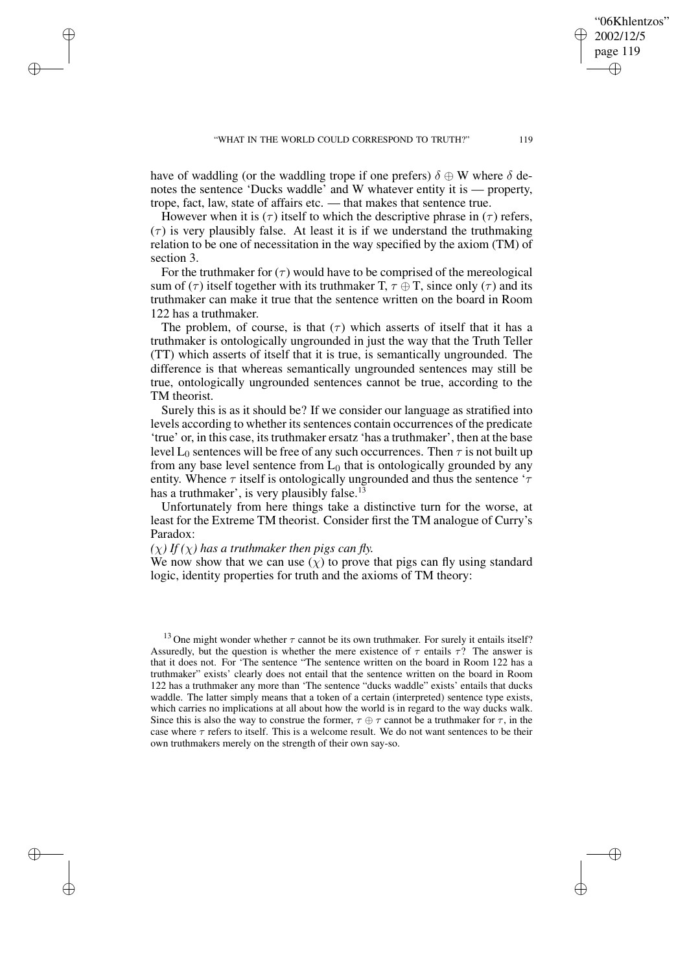✐

✐

✐

have of waddling (or the waddling trope if one prefers)  $\delta \oplus W$  where  $\delta$  denotes the sentence 'Ducks waddle' and W whatever entity it is — property, trope, fact, law, state of affairs etc. — that makes that sentence true.

However when it is (τ) itself to which the descriptive phrase in (τ) refers,  $(\tau)$  is very plausibly false. At least it is if we understand the truthmaking relation to be one of necessitation in the way specified by the axiom (TM) of section 3.

For the truthmaker for  $(\tau)$  would have to be comprised of the mereological sum of (τ) itself together with its truthmaker T,  $\tau \oplus T$ , since only (τ) and its truthmaker can make it true that the sentence written on the board in Room 122 has a truthmaker.

The problem, of course, is that  $(\tau)$  which asserts of itself that it has a truthmaker is ontologically ungrounded in just the way that the Truth Teller (TT) which asserts of itself that it is true, is semantically ungrounded. The difference is that whereas semantically ungrounded sentences may still be true, ontologically ungrounded sentences cannot be true, according to the TM theorist.

Surely this is as it should be? If we consider our language as stratified into levels according to whether its sentences contain occurrences of the predicate 'true' or, in this case, its truthmaker ersatz 'has a truthmaker', then at the base level  $L_0$  sentences will be free of any such occurrences. Then  $\tau$  is not built up from any base level sentence from  $L_0$  that is ontologically grounded by any entity. Whence  $\tau$  itself is ontologically ungrounded and thus the sentence ' $\tau$ has a truthmaker', is very plausibly false.<sup>13</sup>

Unfortunately from here things take a distinctive turn for the worse, at least for the Extreme TM theorist. Consider first the TM analogue of Curry's Paradox:

# $(\chi)$  *If*  $(\chi)$  *has a truthmaker then pigs can fly.*

We now show that we can use  $(y)$  to prove that pigs can fly using standard logic, identity properties for truth and the axioms of TM theory:

"06Khlentzos" 2002/12/5 page 119

✐

✐

✐

<sup>&</sup>lt;sup>13</sup> One might wonder whether  $\tau$  cannot be its own truthmaker. For surely it entails itself? Assuredly, but the question is whether the mere existence of  $\tau$  entails  $\tau$ ? The answer is that it does not. For 'The sentence "The sentence written on the board in Room 122 has a truthmaker" exists' clearly does not entail that the sentence written on the board in Room 122 has a truthmaker any more than 'The sentence "ducks waddle" exists' entails that ducks waddle. The latter simply means that a token of a certain (interpreted) sentence type exists, which carries no implications at all about how the world is in regard to the way ducks walk. Since this is also the way to construe the former,  $\tau \oplus \tau$  cannot be a truthmaker for  $\tau$ , in the case where  $\tau$  refers to itself. This is a welcome result. We do not want sentences to be their own truthmakers merely on the strength of their own say-so.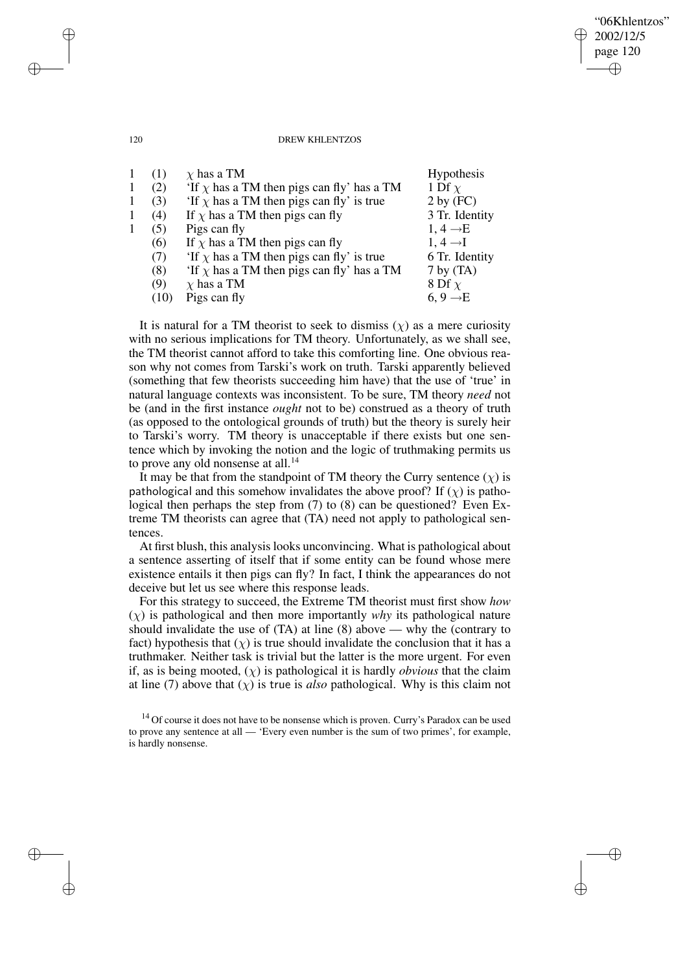## "06Khlentzos" 2002/12/5 page 120 ✐ ✐

✐

✐

#### 120 DREW KHLENTZOS

| 1 | (1)  | $\chi$ has a TM                                 | Hypothesis           |
|---|------|-------------------------------------------------|----------------------|
| 1 | (2)  | 'If $\chi$ has a TM then pigs can fly' has a TM | 1 Df $\chi$          |
| 1 | (3)  | 'If $\chi$ has a TM then pigs can fly' is true  | $2$ by $(FC)$        |
| 1 | (4)  | If $\chi$ has a TM then pigs can fly            | 3 Tr. Identity       |
| 1 | (5)  | Pigs can fly                                    | $1, 4 \rightarrow E$ |
|   | (6)  | If $\chi$ has a TM then pigs can fly            | $1, 4 \rightarrow I$ |
|   | (7)  | 'If $\chi$ has a TM then pigs can fly' is true  | 6 Tr. Identity       |
|   | (8)  | 'If $\chi$ has a TM then pigs can fly' has a TM | $7$ by $(TA)$        |
|   | (9)  | $\chi$ has a TM                                 | 8 Df $\chi$          |
|   | (10) | Pigs can fly                                    | $6, 9 \rightarrow E$ |
|   |      |                                                 |                      |

It is natural for a TM theorist to seek to dismiss  $(\chi)$  as a mere curiosity with no serious implications for TM theory. Unfortunately, as we shall see, the TM theorist cannot afford to take this comforting line. One obvious reason why not comes from Tarski's work on truth. Tarski apparently believed (something that few theorists succeeding him have) that the use of 'true' in natural language contexts was inconsistent. To be sure, TM theory *need* not be (and in the first instance *ought* not to be) construed as a theory of truth (as opposed to the ontological grounds of truth) but the theory is surely heir to Tarski's worry. TM theory is unacceptable if there exists but one sentence which by invoking the notion and the logic of truthmaking permits us to prove any old nonsense at all.<sup>14</sup>

It may be that from the standpoint of TM theory the Curry sentence  $(y)$  is pathological and this somehow invalidates the above proof? If  $(\chi)$  is pathological then perhaps the step from (7) to (8) can be questioned? Even Extreme TM theorists can agree that (TA) need not apply to pathological sentences.

At first blush, this analysislooks unconvincing. What is pathological about a sentence asserting of itself that if some entity can be found whose mere existence entails it then pigs can fly? In fact, I think the appearances do not deceive but let us see where this response leads.

For this strategy to succeed, the Extreme TM theorist must first show *how*  $(\chi)$  is pathological and then more importantly *why* its pathological nature should invalidate the use of  $(TA)$  at line  $(8)$  above — why the (contrary to fact) hypothesis that  $(\chi)$  is true should invalidate the conclusion that it has a truthmaker. Neither task is trivial but the latter is the more urgent. For even if, as is being mooted,  $(\chi)$  is pathological it is hardly *obvious* that the claim at line (7) above that  $(\chi)$  is true is *also* pathological. Why is this claim not

✐

✐

✐

 $14$  Of course it does not have to be nonsense which is proven. Curry's Paradox can be used to prove any sentence at all — 'Every even number is the sum of two primes', for example, is hardly nonsense.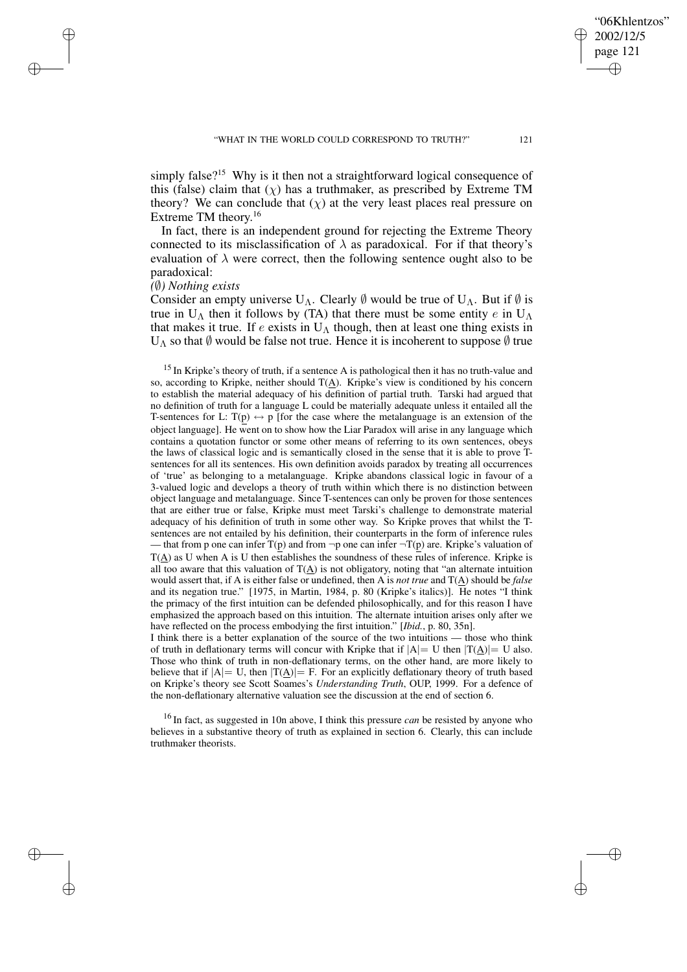"WHAT IN THE WORLD COULD CORRESPOND TO TRUTH?" 121

simply false?<sup>15</sup> Why is it then not a straightforward logical consequence of this (false) claim that  $(\chi)$  has a truthmaker, as prescribed by Extreme TM theory? We can conclude that  $(y)$  at the very least places real pressure on Extreme TM theory. 16

In fact, there is an independent ground for rejecting the Extreme Theory connected to its misclassification of  $\lambda$  as paradoxical. For if that theory's evaluation of  $\lambda$  were correct, then the following sentence ought also to be paradoxical:

# *(*∅*) Nothing exists*

✐

✐

✐

✐

Consider an empty universe  $U_A$ . Clearly  $\emptyset$  would be true of  $U_A$ . But if  $\emptyset$  is true in  $U_{\Lambda}$  then it follows by (TA) that there must be some entity e in  $U_{\Lambda}$ that makes it true. If  $e$  exists in  $U_A$  though, then at least one thing exists in U<sub>A</sub> so that  $\emptyset$  would be false not true. Hence it is incoherent to suppose  $\emptyset$  true

<sup>15</sup> In Kripke's theory of truth, if a sentence A is pathological then it has no truth-value and so, according to Kripke, neither should  $T(\underline{A})$ . Kripke's view is conditioned by his concern to establish the material adequacy of his definition of partial truth. Tarski had argued that no definition of truth for a language L could be materially adequate unless it entailed all the T-sentences for L:  $T(p) \leftrightarrow p$  [for the case where the metalanguage is an extension of the object language]. He went on to show how the Liar Paradox will arise in any language which contains a quotation functor or some other means of referring to its own sentences, obeys the laws of classical logic and is semantically closed in the sense that it is able to prove Tsentences for all its sentences. His own definition avoids paradox by treating all occurrences of 'true' as belonging to a metalanguage. Kripke abandons classical logic in favour of a 3-valued logic and develops a theory of truth within which there is no distinction between object language and metalanguage. Since T-sentences can only be proven for those sentences that are either true or false, Kripke must meet Tarski's challenge to demonstrate material adequacy of his definition of truth in some other way. So Kripke proves that whilst the Tsentences are not entailed by his definition, their counterparts in the form of inference rules — that from p one can infer  $T(p)$  and from  $\neg p$  one can infer  $\neg T(p)$  are. Kripke's valuation of T(A) as U when A is U then establishes the soundness of these rules of inference. Kripke is all too aware that this valuation of  $T(A)$  is not obligatory, noting that "an alternate intuition would assert that, if A is either false or undefined, then A is *not true* and T(A) should be *false* and its negation true." [1975, in Martin, 1984, p. 80 (Kripke's italics)]. He notes "I think the primacy of the first intuition can be defended philosophically, and for this reason I have emphasized the approach based on this intuition. The alternate intuition arises only after we have reflected on the process embodying the first intuition." [*Ibid.*, p. 80, 35n].

I think there is a better explanation of the source of the two intuitions — those who think of truth in deflationary terms will concur with Kripke that if  $|A| = U$  then  $|T(\underline{A})| = U$  also. Those who think of truth in non-deflationary terms, on the other hand, are more likely to believe that if  $|A| = U$ , then  $|T(\underline{A})| = F$ . For an explicitly deflationary theory of truth based on Kripke's theory see Scott Soames's *Understanding Truth*, OUP, 1999. For a defence of the non-deflationary alternative valuation see the discussion at the end of section 6.

<sup>16</sup> In fact, as suggested in 10n above, I think this pressure *can* be resisted by anyone who believes in a substantive theory of truth as explained in section 6. Clearly, this can include truthmaker theorists.

"06Khlentzos" 2002/12/5 page 121

✐

✐

✐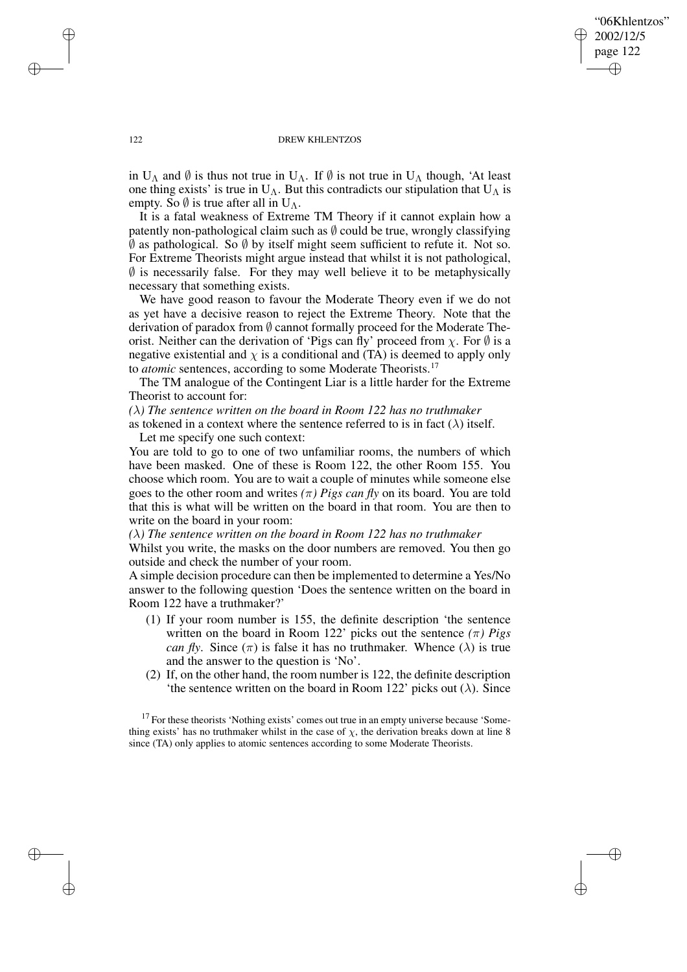"06Khlentzos" 2002/12/5 page 122 ✐ ✐

✐

✐

## 122 DREW KHLENTZOS

in  $U_{\Lambda}$  and  $\emptyset$  is thus not true in  $U_{\Lambda}$ . If  $\emptyset$  is not true in  $U_{\Lambda}$  though, 'At least one thing exists' is true in  $U_{\Lambda}$ . But this contradicts our stipulation that  $U_{\Lambda}$  is empty. So  $\emptyset$  is true after all in U<sub>Λ</sub>.

It is a fatal weakness of Extreme TM Theory if it cannot explain how a patently non-pathological claim such as  $\emptyset$  could be true, wrongly classifying ∅ as pathological. So ∅ by itself might seem sufficient to refute it. Not so. For Extreme Theorists might argue instead that whilst it is not pathological,  $\emptyset$  is necessarily false. For they may well believe it to be metaphysically necessary that something exists.

We have good reason to favour the Moderate Theory even if we do not as yet have a decisive reason to reject the Extreme Theory. Note that the derivation of paradox from  $\emptyset$  cannot formally proceed for the Moderate Theorist. Neither can the derivation of 'Pigs can fly' proceed from  $\chi$ . For  $\emptyset$  is a negative existential and  $\chi$  is a conditional and (TA) is deemed to apply only to *atomic* sentences, according to some Moderate Theorists.<sup>17</sup>

The TM analogue of the Contingent Liar is a little harder for the Extreme Theorist to account for:

*(*λ*) The sentence written on the board in Room 122 has no truthmaker*

as tokened in a context where the sentence referred to is in fact  $(\lambda)$  itself. Let me specify one such context:

You are told to go to one of two unfamiliar rooms, the numbers of which have been masked. One of these is Room 122, the other Room 155. You choose which room. You are to wait a couple of minutes while someone else goes to the other room and writes  $(\pi)$  *Pigs can fly* on its board. You are told that this is what will be written on the board in that room. You are then to write on the board in your room:

*(*λ*) The sentence written on the board in Room 122 has no truthmaker*

Whilst you write, the masks on the door numbers are removed. You then go outside and check the number of your room.

A simple decision procedure can then be implemented to determine a Yes/No answer to the following question 'Does the sentence written on the board in Room 122 have a truthmaker?'

- (1) If your room number is 155, the definite description 'the sentence written on the board in Room 122' picks out the sentence  $(\pi)$  *Pigs can fly.* Since  $(\pi)$  is false it has no truthmaker. Whence  $(\lambda)$  is true and the answer to the question is 'No'.
- (2) If, on the other hand, the room number is 122, the definite description 'the sentence written on the board in Room 122' picks out  $(\lambda)$ . Since

✐

✐

✐

<sup>&</sup>lt;sup>17</sup> For these theorists 'Nothing exists' comes out true in an empty universe because 'Something exists' has no truthmaker whilst in the case of  $\chi$ , the derivation breaks down at line 8 since (TA) only applies to atomic sentences according to some Moderate Theorists.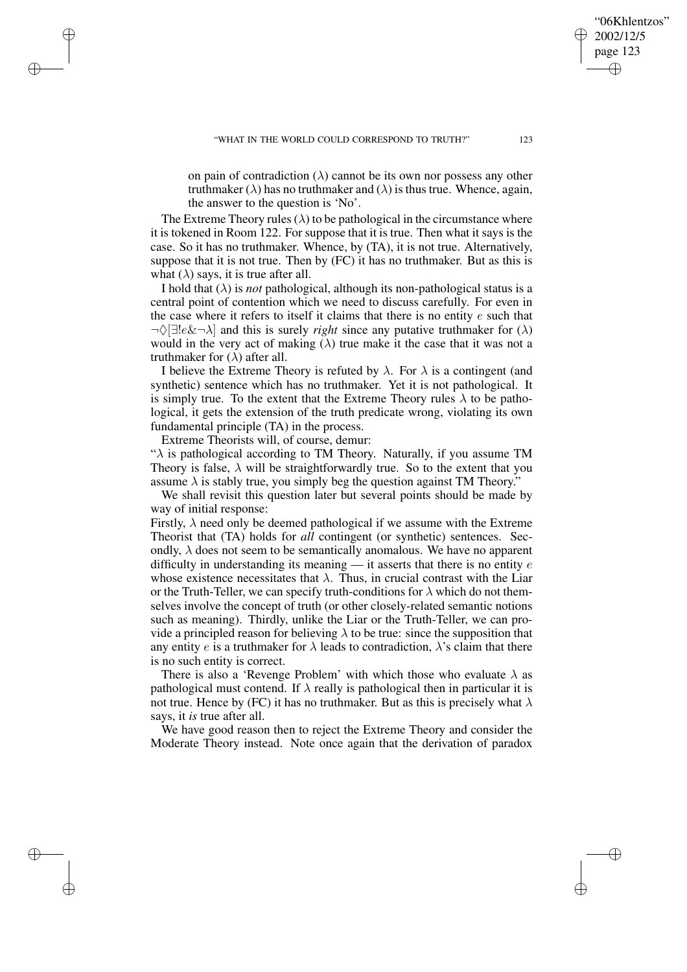on pain of contradiction ( $\lambda$ ) cannot be its own nor possess any other truthmaker ( $\lambda$ ) has no truthmaker and ( $\lambda$ ) is thus true. Whence, again, the answer to the question is 'No'.

The Extreme Theory rules ( $\lambda$ ) to be pathological in the circumstance where it is tokened in Room 122. For suppose that it is true. Then what it says is the case. So it has no truthmaker. Whence, by (TA), it is not true. Alternatively, suppose that it is not true. Then by (FC) it has no truthmaker. But as this is what  $(\lambda)$  says, it is true after all.

I hold that  $(\lambda)$  is *not* pathological, although its non-pathological status is a central point of contention which we need to discuss carefully. For even in the case where it refers to itself it claims that there is no entity  $e$  such that  $\neg \Diamond \exists ! e \& \neg \lambda$  and this is surely *right* since any putative truthmaker for  $(\lambda)$ would in the very act of making  $(\lambda)$  true make it the case that it was not a truthmaker for  $(\lambda)$  after all.

I believe the Extreme Theory is refuted by  $\lambda$ . For  $\lambda$  is a contingent (and synthetic) sentence which has no truthmaker. Yet it is not pathological. It is simply true. To the extent that the Extreme Theory rules  $\lambda$  to be pathological, it gets the extension of the truth predicate wrong, violating its own fundamental principle (TA) in the process.

Extreme Theorists will, of course, demur:

✐

✐

✐

✐

" $\lambda$  is pathological according to TM Theory. Naturally, if you assume TM Theory is false,  $\lambda$  will be straightforwardly true. So to the extent that you assume  $\lambda$  is stably true, you simply beg the question against TM Theory."

We shall revisit this question later but several points should be made by way of initial response:

Firstly,  $\lambda$  need only be deemed pathological if we assume with the Extreme Theorist that (TA) holds for *all* contingent (or synthetic) sentences. Secondly,  $\lambda$  does not seem to be semantically anomalous. We have no apparent difficulty in understanding its meaning  $-$  it asserts that there is no entity  $e$ whose existence necessitates that  $\lambda$ . Thus, in crucial contrast with the Liar or the Truth-Teller, we can specify truth-conditions for  $\lambda$  which do not themselves involve the concept of truth (or other closely-related semantic notions such as meaning). Thirdly, unlike the Liar or the Truth-Teller, we can provide a principled reason for believing  $\lambda$  to be true: since the supposition that any entity e is a truthmaker for  $\lambda$  leads to contradiction,  $\lambda$ 's claim that there is no such entity is correct.

There is also a 'Revenge Problem' with which those who evaluate  $\lambda$  as pathological must contend. If  $\lambda$  really is pathological then in particular it is not true. Hence by (FC) it has no truthmaker. But as this is precisely what  $\lambda$ says, it *is* true after all.

We have good reason then to reject the Extreme Theory and consider the Moderate Theory instead. Note once again that the derivation of paradox

"06Khlentzos" 2002/12/5 page 123

✐

✐

✐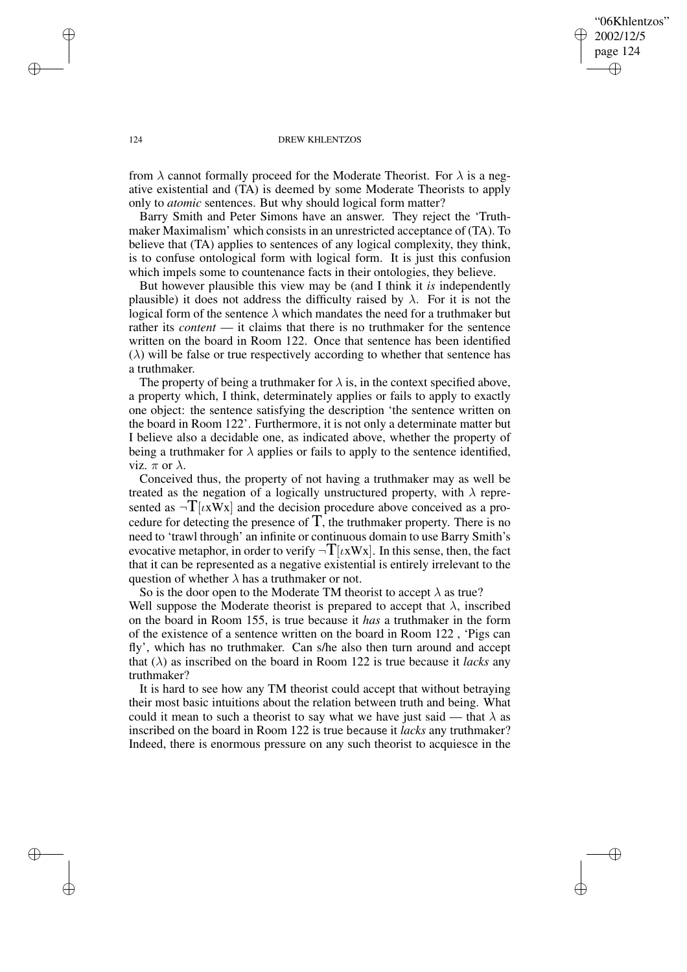"06Khlentzos" 2002/12/5 page 124 ✐ ✐

✐

✐

## 124 DREW KHLENTZOS

from  $\lambda$  cannot formally proceed for the Moderate Theorist. For  $\lambda$  is a negative existential and (TA) is deemed by some Moderate Theorists to apply only to *atomic* sentences. But why should logical form matter?

Barry Smith and Peter Simons have an answer. They reject the 'Truthmaker Maximalism' which consists in an unrestricted acceptance of (TA). To believe that (TA) applies to sentences of any logical complexity, they think, is to confuse ontological form with logical form. It is just this confusion which impels some to countenance facts in their ontologies, they believe.

But however plausible this view may be (and I think it *is* independently plausible) it does not address the difficulty raised by  $\lambda$ . For it is not the logical form of the sentence  $\lambda$  which mandates the need for a truthmaker but rather its *content* — it claims that there is no truthmaker for the sentence written on the board in Room 122. Once that sentence has been identified  $(\lambda)$  will be false or true respectively according to whether that sentence has a truthmaker.

The property of being a truthmaker for  $\lambda$  is, in the context specified above, a property which, I think, determinately applies or fails to apply to exactly one object: the sentence satisfying the description 'the sentence written on the board in Room 122'. Furthermore, it is not only a determinate matter but I believe also a decidable one, as indicated above, whether the property of being a truthmaker for  $\lambda$  applies or fails to apply to the sentence identified, viz.  $\pi$  or  $\lambda$ .

Conceived thus, the property of not having a truthmaker may as well be treated as the negation of a logically unstructured property, with  $\lambda$  represented as  $\neg$   $T[\iota xWx]$  and the decision procedure above conceived as a procedure for detecting the presence of  $T$ , the truthmaker property. There is no need to 'trawl through' an infinite or continuous domain to use Barry Smith's evocative metaphor, in order to verify  $\neg$   $T[\iota xWx]$ . In this sense, then, the fact that it can be represented as a negative existential is entirely irrelevant to the question of whether  $\lambda$  has a truthmaker or not.

So is the door open to the Moderate TM theorist to accept  $\lambda$  as true? Well suppose the Moderate theorist is prepared to accept that  $\lambda$ , inscribed on the board in Room 155, is true because it *has* a truthmaker in the form of the existence of a sentence written on the board in Room 122 , 'Pigs can fly', which has no truthmaker. Can s/he also then turn around and accept that  $(\lambda)$  as inscribed on the board in Room 122 is true because it *lacks* any truthmaker?

It is hard to see how any TM theorist could accept that without betraying their most basic intuitions about the relation between truth and being. What could it mean to such a theorist to say what we have just said — that  $\lambda$  as inscribed on the board in Room 122 is true because it *lacks* any truthmaker? Indeed, there is enormous pressure on any such theorist to acquiesce in the

✐

✐

✐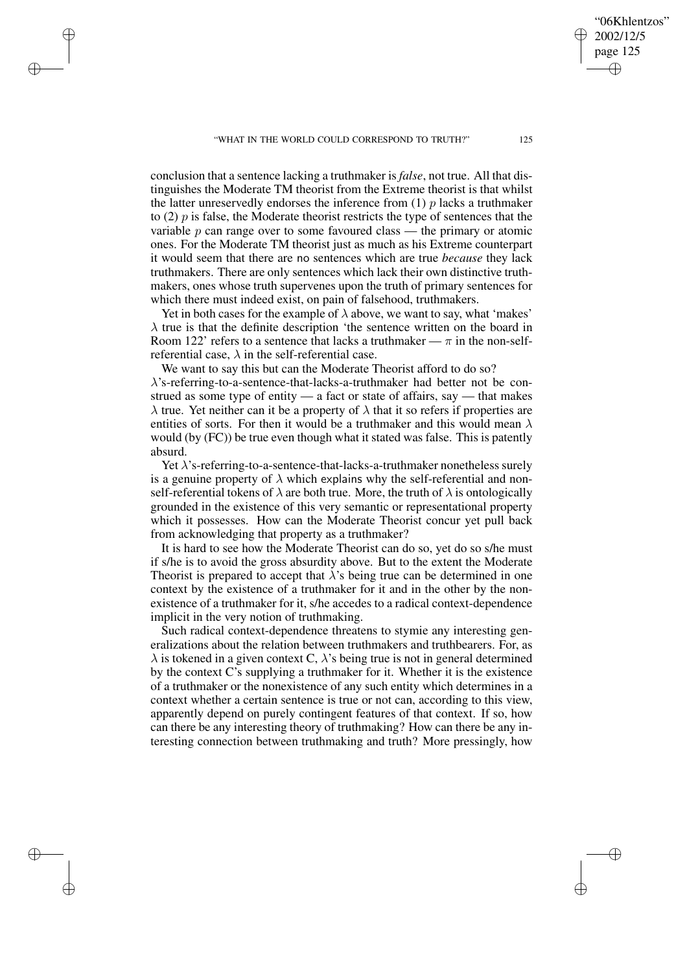✐

✐

✐

conclusion that a sentence lacking a truthmaker is *false*, not true. All that distinguishes the Moderate TM theorist from the Extreme theorist is that whilst the latter unreservedly endorses the inference from  $(1)$  p lacks a truthmaker to  $(2)$  p is false, the Moderate theorist restricts the type of sentences that the variable  $p$  can range over to some favoured class — the primary or atomic ones. For the Moderate TM theorist just as much as his Extreme counterpart it would seem that there are no sentences which are true *because* they lack truthmakers. There are only sentences which lack their own distinctive truthmakers, ones whose truth supervenes upon the truth of primary sentences for which there must indeed exist, on pain of falsehood, truthmakers.

Yet in both cases for the example of  $\lambda$  above, we want to say, what 'makes'  $\lambda$  true is that the definite description 'the sentence written on the board in Room 122' refers to a sentence that lacks a truthmaker —  $\pi$  in the non-selfreferential case,  $\lambda$  in the self-referential case.

We want to say this but can the Moderate Theorist afford to do so?  $\lambda$ 's-referring-to-a-sentence-that-lacks-a-truthmaker had better not be construed as some type of entity — a fact or state of affairs, say — that makes  $\lambda$  true. Yet neither can it be a property of  $\lambda$  that it so refers if properties are entities of sorts. For then it would be a truthmaker and this would mean  $\lambda$ would (by (FC)) be true even though what it stated was false. This is patently absurd.

Yet  $\lambda$ 's-referring-to-a-sentence-that-lacks-a-truthmaker nonetheless surely is a genuine property of  $\lambda$  which explains why the self-referential and nonself-referential tokens of  $\lambda$  are both true. More, the truth of  $\lambda$  is ontologically grounded in the existence of this very semantic or representational property which it possesses. How can the Moderate Theorist concur yet pull back from acknowledging that property as a truthmaker?

It is hard to see how the Moderate Theorist can do so, yet do so s/he must if s/he is to avoid the gross absurdity above. But to the extent the Moderate Theorist is prepared to accept that  $\lambda$ 's being true can be determined in one context by the existence of a truthmaker for it and in the other by the nonexistence of a truthmaker for it, s/he accedes to a radical context-dependence implicit in the very notion of truthmaking.

Such radical context-dependence threatens to stymie any interesting generalizations about the relation between truthmakers and truthbearers. For, as  $\lambda$  is tokened in a given context C,  $\lambda$ 's being true is not in general determined by the context C's supplying a truthmaker for it. Whether it is the existence of a truthmaker or the nonexistence of any such entity which determines in a context whether a certain sentence is true or not can, according to this view, apparently depend on purely contingent features of that context. If so, how can there be any interesting theory of truthmaking? How can there be any interesting connection between truthmaking and truth? More pressingly, how

"06Khlentzos" 2002/12/5 page 125

✐

✐

✐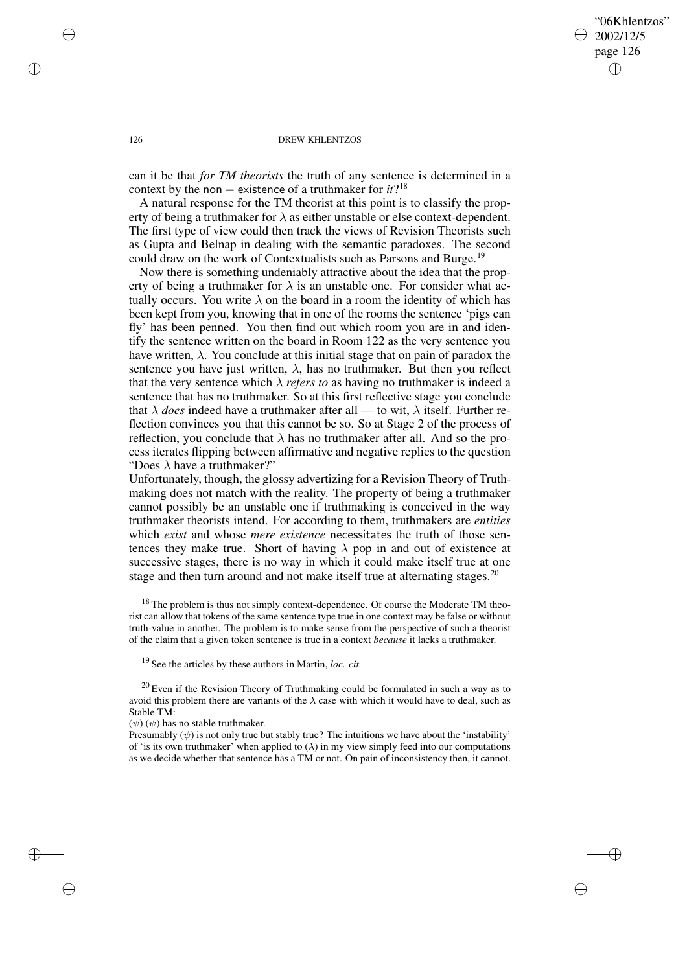"06Khlentzos" 2002/12/5 page 126 ✐ ✐

✐

✐

## 126 DREW KHLENTZOS

can it be that *for TM theorists* the truth of any sentence is determined in a context by the non  $-$  existence of a truthmaker for  $it?$ <sup>18</sup>

A natural response for the TM theorist at this point is to classify the property of being a truthmaker for  $\lambda$  as either unstable or else context-dependent. The first type of view could then track the views of Revision Theorists such as Gupta and Belnap in dealing with the semantic paradoxes. The second could draw on the work of Contextualists such as Parsons and Burge.<sup>19</sup>

Now there is something undeniably attractive about the idea that the property of being a truthmaker for  $\lambda$  is an unstable one. For consider what actually occurs. You write  $\lambda$  on the board in a room the identity of which has been kept from you, knowing that in one of the rooms the sentence 'pigs can fly' has been penned. You then find out which room you are in and identify the sentence written on the board in Room 122 as the very sentence you have written,  $\lambda$ . You conclude at this initial stage that on pain of paradox the sentence you have just written,  $\lambda$ , has no truthmaker. But then you reflect that the very sentence which  $\lambda$  *refers to* as having no truthmaker is indeed a sentence that has no truthmaker. So at this first reflective stage you conclude that  $\lambda$  *does* indeed have a truthmaker after all — to wit,  $\lambda$  itself. Further reflection convinces you that this cannot be so. So at Stage 2 of the process of reflection, you conclude that  $\lambda$  has no truthmaker after all. And so the process iterates flipping between affirmative and negative replies to the question "Does  $\lambda$  have a truthmaker?"

Unfortunately, though, the glossy advertizing for a Revision Theory of Truthmaking does not match with the reality. The property of being a truthmaker cannot possibly be an unstable one if truthmaking is conceived in the way truthmaker theorists intend. For according to them, truthmakers are *entities* which *exist* and whose *mere existence* necessitates the truth of those sentences they make true. Short of having  $\lambda$  pop in and out of existence at successive stages, there is no way in which it could make itself true at one stage and then turn around and not make itself true at alternating stages.<sup>20</sup>

<sup>18</sup> The problem is thus not simply context-dependence. Of course the Moderate TM theorist can allow that tokens of the same sentence type true in one context may be false or without truth-value in another. The problem is to make sense from the perspective of such a theorist of the claim that a given token sentence is true in a context *because* it lacks a truthmaker.

<sup>19</sup> See the articles by these authors in Martin, *loc. cit.*

<sup>20</sup> Even if the Revision Theory of Truthmaking could be formulated in such a way as to avoid this problem there are variants of the  $\lambda$  case with which it would have to deal, such as Stable TM:

 $(y)$  ( $\psi$ ) has no stable truthmaker.

Presumably  $(\psi)$  is not only true but stably true? The intuitions we have about the 'instability' of 'is its own truthmaker' when applied to  $(\lambda)$  in my view simply feed into our computations as we decide whether that sentence has a TM or not. On pain of inconsistency then, it cannot.

✐

✐

✐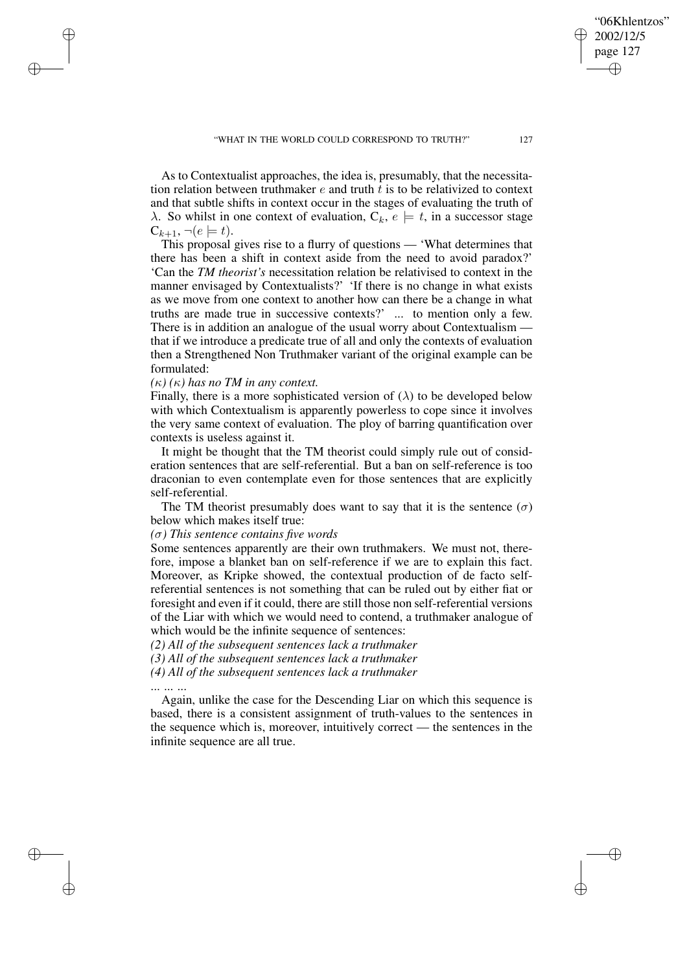✐

"06Khlentzos" 2002/12/5 page 127

✐

✐

As to Contextualist approaches, the idea is, presumably, that the necessitation relation between truthmaker  $e$  and truth  $t$  is to be relativized to context and that subtle shifts in context occur in the stages of evaluating the truth of λ. So whilst in one context of evaluation,  $C_k$ ,  $e \models t$ , in a successor stage  $C_{k+1}$ ,  $\neg$ ( $e \models t$ ).

This proposal gives rise to a flurry of questions — 'What determines that there has been a shift in context aside from the need to avoid paradox?' 'Can the *TM theorist's* necessitation relation be relativised to context in the manner envisaged by Contextualists?' 'If there is no change in what exists as we move from one context to another how can there be a change in what truths are made true in successive contexts?' ... to mention only a few. There is in addition an analogue of the usual worry about Contextualism that if we introduce a predicate true of all and only the contexts of evaluation then a Strengthened Non Truthmaker variant of the original example can be formulated:

 $(\kappa)$   $(\kappa)$  *has no TM in any context.* 

Finally, there is a more sophisticated version of  $(\lambda)$  to be developed below with which Contextualism is apparently powerless to cope since it involves the very same context of evaluation. The ploy of barring quantification over contexts is useless against it.

It might be thought that the TM theorist could simply rule out of consideration sentences that are self-referential. But a ban on self-reference is too draconian to even contemplate even for those sentences that are explicitly self-referential.

The TM theorist presumably does want to say that it is the sentence  $(\sigma)$ below which makes itself true:

*(*σ*) This sentence contains five words*

Some sentences apparently are their own truthmakers. We must not, therefore, impose a blanket ban on self-reference if we are to explain this fact. Moreover, as Kripke showed, the contextual production of de facto selfreferential sentences is not something that can be ruled out by either fiat or foresight and even if it could, there are still those non self-referential versions of the Liar with which we would need to contend, a truthmaker analogue of which would be the infinite sequence of sentences:

*(2) All of the subsequent sentences lack a truthmaker*

*(3) All of the subsequent sentences lack a truthmaker*

*(4) All of the subsequent sentences lack a truthmaker*

... ... ...

✐

✐

✐

✐

Again, unlike the case for the Descending Liar on which this sequence is based, there is a consistent assignment of truth-values to the sentences in the sequence which is, moreover, intuitively correct — the sentences in the infinite sequence are all true.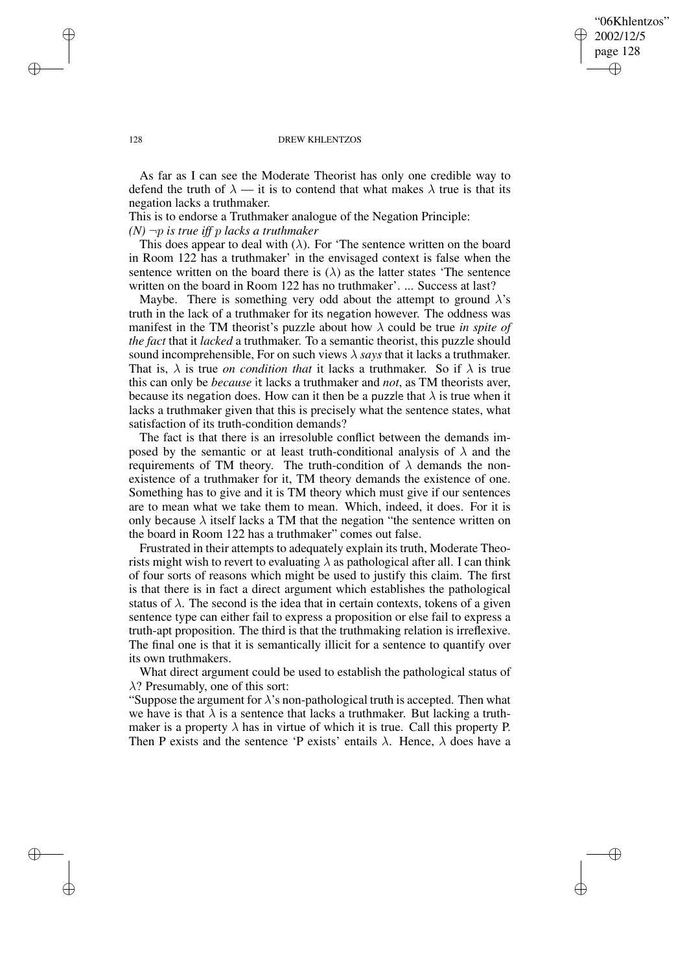## "06Khlentzos" 2002/12/5 page 128 ✐ ✐

✐

✐

## 128 DREW KHLENTZOS

As far as I can see the Moderate Theorist has only one credible way to defend the truth of  $\lambda$  — it is to contend that what makes  $\lambda$  true is that its negation lacks a truthmaker.

This is to endorse a Truthmaker analogue of the Negation Principle: *(N)* ¬p *is true iff* p *lacks a truthmaker*

This does appear to deal with  $(\lambda)$ . For 'The sentence written on the board in Room 122 has a truthmaker' in the envisaged context is false when the sentence written on the board there is  $(\lambda)$  as the latter states 'The sentence written on the board in Room 122 has no truthmaker'. ... Success at last?

Maybe. There is something very odd about the attempt to ground  $\lambda$ 's truth in the lack of a truthmaker for its negation however. The oddness was manifest in the TM theorist's puzzle about how  $\lambda$  could be true *in spite of the fact* that it *lacked* a truthmaker. To a semantic theorist, this puzzle should sound incomprehensible, For on such views  $\lambda$  *says* that it lacks a truthmaker. That is,  $\lambda$  is true *on condition that* it lacks a truthmaker. So if  $\lambda$  is true this can only be *because* it lacks a truthmaker and *not*, as TM theorists aver, because its negation does. How can it then be a puzzle that  $\lambda$  is true when it lacks a truthmaker given that this is precisely what the sentence states, what satisfaction of its truth-condition demands?

The fact is that there is an irresoluble conflict between the demands imposed by the semantic or at least truth-conditional analysis of  $\lambda$  and the requirements of TM theory. The truth-condition of  $\lambda$  demands the nonexistence of a truthmaker for it, TM theory demands the existence of one. Something has to give and it is TM theory which must give if our sentences are to mean what we take them to mean. Which, indeed, it does. For it is only because  $\lambda$  itself lacks a TM that the negation "the sentence written on the board in Room 122 has a truthmaker" comes out false.

Frustrated in their attempts to adequately explain its truth, Moderate Theorists might wish to revert to evaluating  $\lambda$  as pathological after all. I can think of four sorts of reasons which might be used to justify this claim. The first is that there is in fact a direct argument which establishes the pathological status of  $\lambda$ . The second is the idea that in certain contexts, tokens of a given sentence type can either fail to express a proposition or else fail to express a truth-apt proposition. The third is that the truthmaking relation is irreflexive. The final one is that it is semantically illicit for a sentence to quantify over its own truthmakers.

What direct argument could be used to establish the pathological status of  $\lambda$ ? Presumably, one of this sort:

"Suppose the argument for  $\lambda$ 's non-pathological truth is accepted. Then what we have is that  $\lambda$  is a sentence that lacks a truthmaker. But lacking a truthmaker is a property  $\lambda$  has in virtue of which it is true. Call this property P. Then P exists and the sentence 'P exists' entails  $\lambda$ . Hence,  $\lambda$  does have a

✐

✐

✐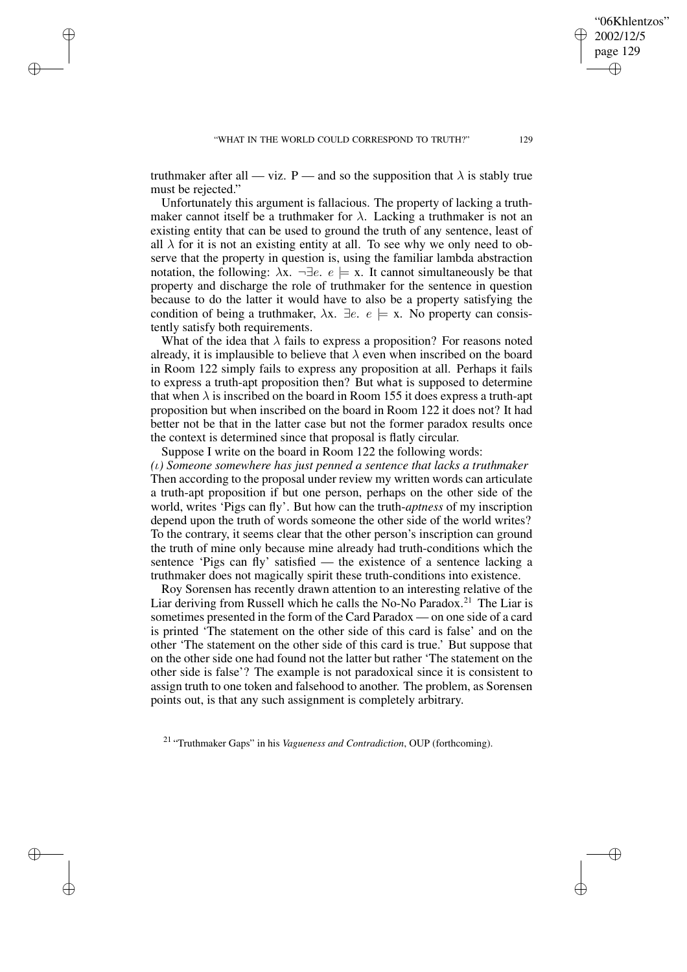✐

✐

✐

truthmaker after all — viz. P — and so the supposition that  $\lambda$  is stably true must be rejected."

Unfortunately this argument is fallacious. The property of lacking a truthmaker cannot itself be a truthmaker for  $\lambda$ . Lacking a truthmaker is not an existing entity that can be used to ground the truth of any sentence, least of all  $\lambda$  for it is not an existing entity at all. To see why we only need to observe that the property in question is, using the familiar lambda abstraction notation, the following:  $\lambda x$ .  $\neg \exists e, e \models x$ . It cannot simultaneously be that property and discharge the role of truthmaker for the sentence in question because to do the latter it would have to also be a property satisfying the condition of being a truthmaker,  $\lambda x$ .  $\exists e$ .  $e \models x$ . No property can consistently satisfy both requirements.

What of the idea that  $\lambda$  fails to express a proposition? For reasons noted already, it is implausible to believe that  $\lambda$  even when inscribed on the board in Room 122 simply fails to express any proposition at all. Perhaps it fails to express a truth-apt proposition then? But what is supposed to determine that when  $\lambda$  is inscribed on the board in Room 155 it does express a truth-apt proposition but when inscribed on the board in Room 122 it does not? It had better not be that in the latter case but not the former paradox results once the context is determined since that proposal is flatly circular.

Suppose I write on the board in Room 122 the following words: *(*ι*) Someone somewhere has just penned a sentence that lacks a truthmaker* Then according to the proposal under review my written words can articulate a truth-apt proposition if but one person, perhaps on the other side of the world, writes 'Pigs can fly'. But how can the truth-*aptness* of my inscription depend upon the truth of words someone the other side of the world writes? To the contrary, it seems clear that the other person's inscription can ground the truth of mine only because mine already had truth-conditions which the sentence 'Pigs can fly' satisfied — the existence of a sentence lacking a truthmaker does not magically spirit these truth-conditions into existence.

Roy Sorensen has recently drawn attention to an interesting relative of the Liar deriving from Russell which he calls the No-No Paradox.<sup>21</sup> The Liar is sometimes presented in the form of the Card Paradox — on one side of a card is printed 'The statement on the other side of this card is false' and on the other 'The statement on the other side of this card is true.' But suppose that on the other side one had found not the latter but rather 'The statement on the other side is false'? The example is not paradoxical since it is consistent to assign truth to one token and falsehood to another. The problem, as Sorensen points out, is that any such assignment is completely arbitrary.

<sup>21</sup> "Truthmaker Gaps" in his *Vagueness and Contradiction*, OUP (forthcoming).

"06Khlentzos" 2002/12/5 page 129

✐

✐

✐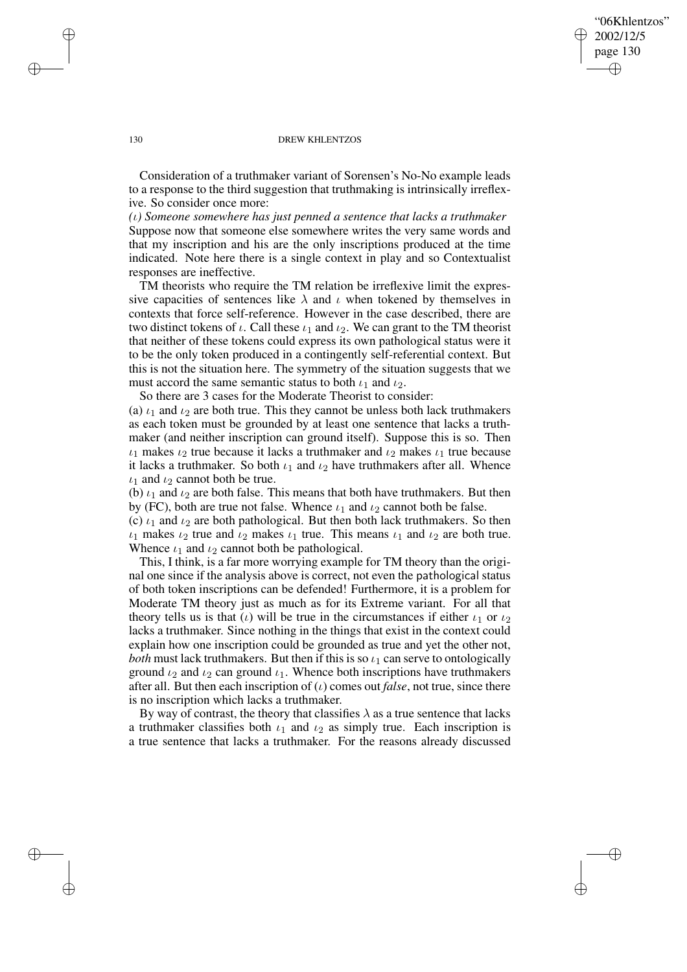## "06Khlentzos" 2002/12/5 page 130 ✐ ✐

✐

✐

## 130 DREW KHLENTZOS

Consideration of a truthmaker variant of Sorensen's No-No example leads to a response to the third suggestion that truthmaking is intrinsically irreflexive. So consider once more:

*(*ι*) Someone somewhere has just penned a sentence that lacks a truthmaker* Suppose now that someone else somewhere writes the very same words and that my inscription and his are the only inscriptions produced at the time indicated. Note here there is a single context in play and so Contextualist responses are ineffective.

TM theorists who require the TM relation be irreflexive limit the expressive capacities of sentences like  $\lambda$  and  $\iota$  when tokened by themselves in contexts that force self-reference. However in the case described, there are two distinct tokens of  $\iota$ . Call these  $\iota_1$  and  $\iota_2$ . We can grant to the TM theorist that neither of these tokens could express its own pathological status were it to be the only token produced in a contingently self-referential context. But this is not the situation here. The symmetry of the situation suggests that we must accord the same semantic status to both  $\iota_1$  and  $\iota_2$ .

So there are 3 cases for the Moderate Theorist to consider:

(a)  $\iota_1$  and  $\iota_2$  are both true. This they cannot be unless both lack truthmakers as each token must be grounded by at least one sentence that lacks a truthmaker (and neither inscription can ground itself). Suppose this is so. Then  $\iota_1$  makes  $\iota_2$  true because it lacks a truthmaker and  $\iota_2$  makes  $\iota_1$  true because it lacks a truthmaker. So both  $\iota_1$  and  $\iota_2$  have truthmakers after all. Whence  $\iota_1$  and  $\iota_2$  cannot both be true.

(b)  $\iota_1$  and  $\iota_2$  are both false. This means that both have truthmakers. But then by (FC), both are true not false. Whence  $\iota_1$  and  $\iota_2$  cannot both be false.

(c)  $\iota_1$  and  $\iota_2$  are both pathological. But then both lack truthmakers. So then  $\iota_1$  makes  $\iota_2$  true and  $\iota_2$  makes  $\iota_1$  true. This means  $\iota_1$  and  $\iota_2$  are both true. Whence  $\iota_1$  and  $\iota_2$  cannot both be pathological.

This, I think, is a far more worrying example for TM theory than the original one since if the analysis above is correct, not even the pathological status of both token inscriptions can be defended! Furthermore, it is a problem for Moderate TM theory just as much as for its Extreme variant. For all that theory tells us is that (*ι*) will be true in the circumstances if either  $i_1$  or  $i_2$ lacks a truthmaker. Since nothing in the things that exist in the context could explain how one inscription could be grounded as true and yet the other not, *both* must lack truthmakers. But then if this is so  $\iota_1$  can serve to ontologically ground  $\iota_2$  and  $\iota_2$  can ground  $\iota_1$ . Whence both inscriptions have truthmakers after all. But then each inscription of (ι) comes out *false*, not true, since there is no inscription which lacks a truthmaker.

By way of contrast, the theory that classifies  $\lambda$  as a true sentence that lacks a truthmaker classifies both  $\iota_1$  and  $\iota_2$  as simply true. Each inscription is a true sentence that lacks a truthmaker. For the reasons already discussed

✐

✐

✐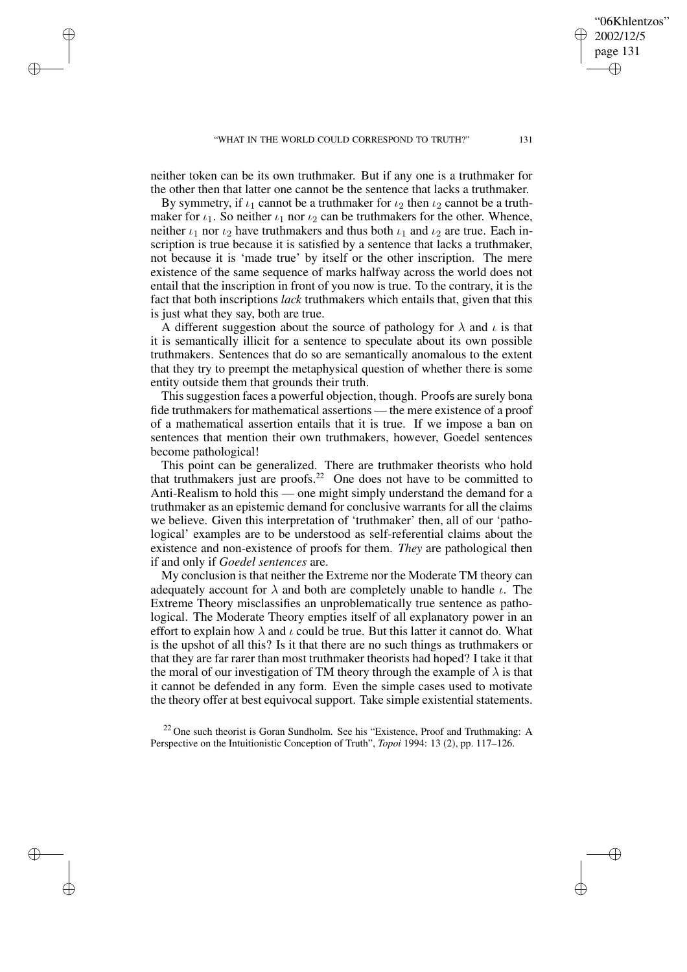✐

✐

✐

neither token can be its own truthmaker. But if any one is a truthmaker for the other then that latter one cannot be the sentence that lacks a truthmaker.

By symmetry, if  $\iota_1$  cannot be a truthmaker for  $\iota_2$  then  $\iota_2$  cannot be a truthmaker for  $\iota_1$ . So neither  $\iota_1$  nor  $\iota_2$  can be truthmakers for the other. Whence, neither  $\iota_1$  nor  $\iota_2$  have truthmakers and thus both  $\iota_1$  and  $\iota_2$  are true. Each inscription is true because it is satisfied by a sentence that lacks a truthmaker, not because it is 'made true' by itself or the other inscription. The mere existence of the same sequence of marks halfway across the world does not entail that the inscription in front of you now is true. To the contrary, it is the fact that both inscriptions *lack* truthmakers which entails that, given that this is just what they say, both are true.

A different suggestion about the source of pathology for  $\lambda$  and  $\iota$  is that it is semantically illicit for a sentence to speculate about its own possible truthmakers. Sentences that do so are semantically anomalous to the extent that they try to preempt the metaphysical question of whether there is some entity outside them that grounds their truth.

This suggestion faces a powerful objection, though. Proofs are surely bona fide truthmakers for mathematical assertions — the mere existence of a proof of a mathematical assertion entails that it is true. If we impose a ban on sentences that mention their own truthmakers, however, Goedel sentences become pathological!

This point can be generalized. There are truthmaker theorists who hold that truthmakers just are proofs.<sup>22</sup> One does not have to be committed to Anti-Realism to hold this — one might simply understand the demand for a truthmaker as an epistemic demand for conclusive warrants for all the claims we believe. Given this interpretation of 'truthmaker' then, all of our 'pathological' examples are to be understood as self-referential claims about the existence and non-existence of proofs for them. *They* are pathological then if and only if *Goedel sentences* are.

My conclusion is that neither the Extreme nor the Moderate TM theory can adequately account for  $\lambda$  and both are completely unable to handle  $\iota$ . The Extreme Theory misclassifies an unproblematically true sentence as pathological. The Moderate Theory empties itself of all explanatory power in an effort to explain how  $\lambda$  and  $\iota$  could be true. But this latter it cannot do. What is the upshot of all this? Is it that there are no such things as truthmakers or that they are far rarer than most truthmaker theorists had hoped? I take it that the moral of our investigation of TM theory through the example of  $\lambda$  is that it cannot be defended in any form. Even the simple cases used to motivate the theory offer at best equivocal support. Take simple existential statements.

<sup>22</sup> One such theorist is Goran Sundholm. See his "Existence, Proof and Truthmaking: A Perspective on the Intuitionistic Conception of Truth", *Topoi* 1994: 13 (2), pp. 117–126.

"06Khlentzos" 2002/12/5 page 131

✐

✐

✐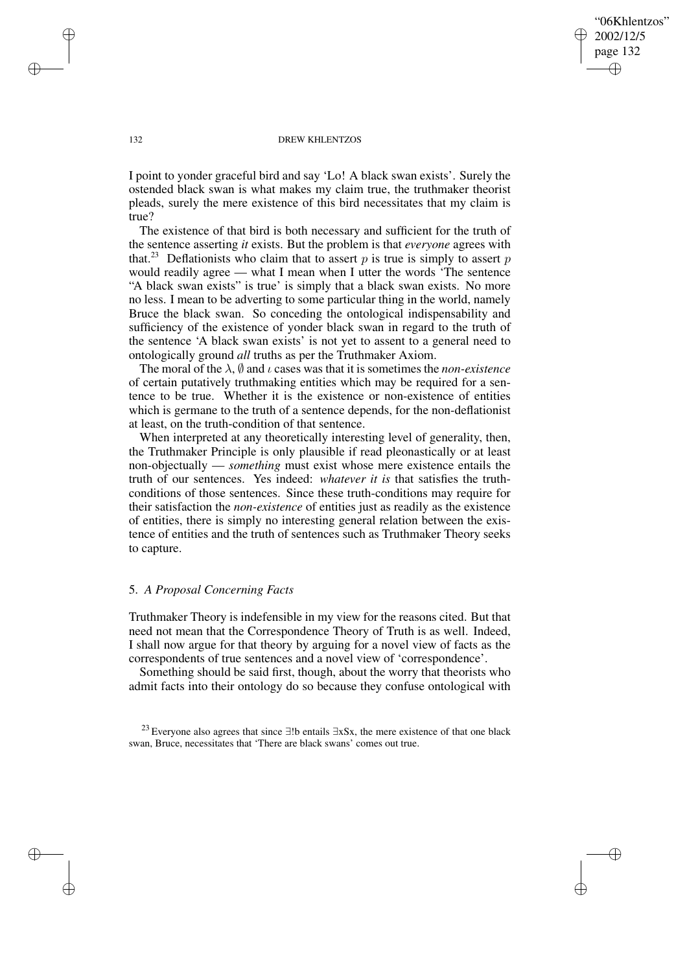## "06Khlentzos" 2002/12/5 page 132 ✐ ✐

✐

✐

#### 132 DREW KHLENTZOS

I point to yonder graceful bird and say 'Lo! A black swan exists'. Surely the ostended black swan is what makes my claim true, the truthmaker theorist pleads, surely the mere existence of this bird necessitates that my claim is true?

The existence of that bird is both necessary and sufficient for the truth of the sentence asserting *it* exists. But the problem is that *everyone* agrees with that.<sup>23</sup> Deflationists who claim that to assert p is true is simply to assert p would readily agree — what I mean when I utter the words 'The sentence "A black swan exists" is true' is simply that a black swan exists. No more no less. I mean to be adverting to some particular thing in the world, namely Bruce the black swan. So conceding the ontological indispensability and sufficiency of the existence of yonder black swan in regard to the truth of the sentence 'A black swan exists' is not yet to assent to a general need to ontologically ground *all* truths as per the Truthmaker Axiom.

The moral of the  $\lambda$ ,  $\emptyset$  and  $\iota$  cases was that it is sometimes the *non-existence* of certain putatively truthmaking entities which may be required for a sentence to be true. Whether it is the existence or non-existence of entities which is germane to the truth of a sentence depends, for the non-deflationist at least, on the truth-condition of that sentence.

When interpreted at any theoretically interesting level of generality, then, the Truthmaker Principle is only plausible if read pleonastically or at least non-objectually — *something* must exist whose mere existence entails the truth of our sentences. Yes indeed: *whatever it is* that satisfies the truthconditions of those sentences. Since these truth-conditions may require for their satisfaction the *non-existence* of entities just as readily as the existence of entities, there is simply no interesting general relation between the existence of entities and the truth of sentences such as Truthmaker Theory seeks to capture.

# 5. *A Proposal Concerning Facts*

Truthmaker Theory is indefensible in my view for the reasons cited. But that need not mean that the Correspondence Theory of Truth is as well. Indeed, I shall now argue for that theory by arguing for a novel view of facts as the correspondents of true sentences and a novel view of 'correspondence'.

Something should be said first, though, about the worry that theorists who admit facts into their ontology do so because they confuse ontological with

✐

✐

✐

<sup>23</sup> Everyone also agrees that since ∃!b entails ∃xSx, the mere existence of that one black swan, Bruce, necessitates that 'There are black swans' comes out true.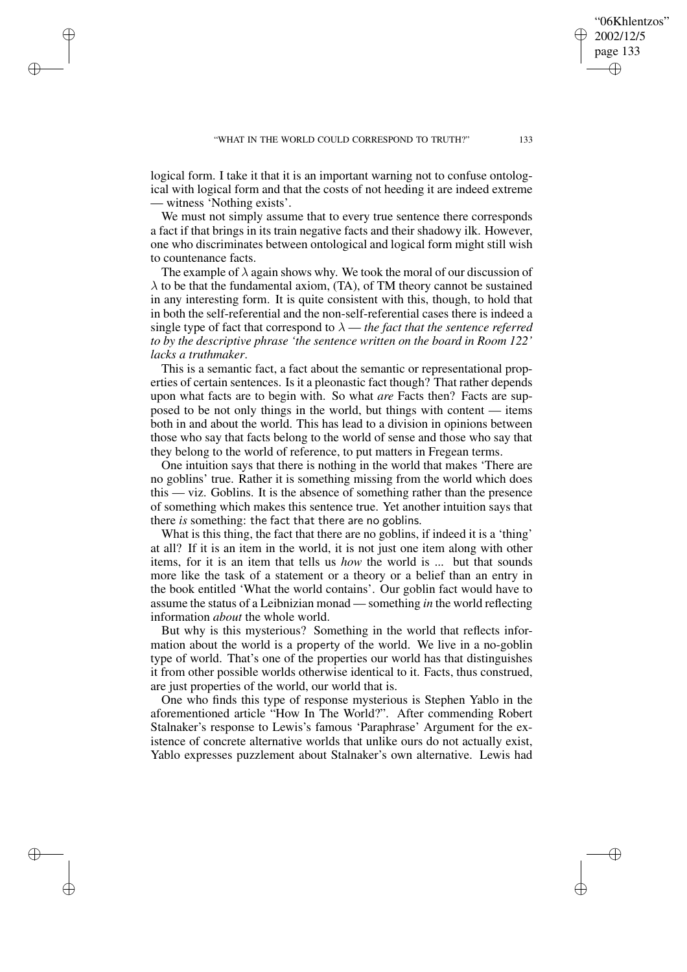✐

✐

✐

logical form. I take it that it is an important warning not to confuse ontological with logical form and that the costs of not heeding it are indeed extreme — witness 'Nothing exists'.

We must not simply assume that to every true sentence there corresponds a fact if that brings in its train negative facts and their shadowy ilk. However, one who discriminates between ontological and logical form might still wish to countenance facts.

The example of  $\lambda$  again shows why. We took the moral of our discussion of  $\lambda$  to be that the fundamental axiom, (TA), of TM theory cannot be sustained in any interesting form. It is quite consistent with this, though, to hold that in both the self-referential and the non-self-referential cases there is indeed a single type of fact that correspond to  $\lambda$  — *the fact that the sentence referred to by the descriptive phrase 'the sentence written on the board in Room 122' lacks a truthmaker*.

This is a semantic fact, a fact about the semantic or representational properties of certain sentences. Is it a pleonastic fact though? That rather depends upon what facts are to begin with. So what *are* Facts then? Facts are supposed to be not only things in the world, but things with content — items both in and about the world. This has lead to a division in opinions between those who say that facts belong to the world of sense and those who say that they belong to the world of reference, to put matters in Fregean terms.

One intuition says that there is nothing in the world that makes 'There are no goblins' true. Rather it is something missing from the world which does this — viz. Goblins. It is the absence of something rather than the presence of something which makes this sentence true. Yet another intuition says that there *is* something: the fact that there are no goblins.

What is this thing, the fact that there are no goblins, if indeed it is a 'thing' at all? If it is an item in the world, it is not just one item along with other items, for it is an item that tells us *how* the world is ... but that sounds more like the task of a statement or a theory or a belief than an entry in the book entitled 'What the world contains'. Our goblin fact would have to assume the status of a Leibnizian monad — something *in* the world reflecting information *about* the whole world.

But why is this mysterious? Something in the world that reflects information about the world is a property of the world. We live in a no-goblin type of world. That's one of the properties our world has that distinguishes it from other possible worlds otherwise identical to it. Facts, thus construed, are just properties of the world, our world that is.

One who finds this type of response mysterious is Stephen Yablo in the aforementioned article "How In The World?". After commending Robert Stalnaker's response to Lewis's famous 'Paraphrase' Argument for the existence of concrete alternative worlds that unlike ours do not actually exist, Yablo expresses puzzlement about Stalnaker's own alternative. Lewis had

"06Khlentzos" 2002/12/5 page 133

✐

✐

✐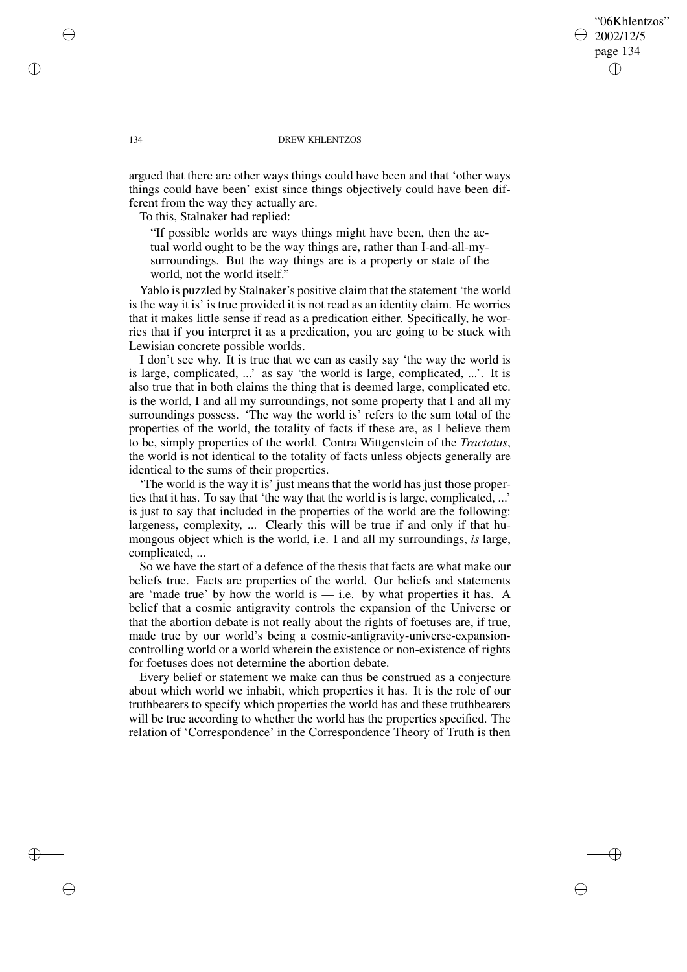## "06Khlentzos" 2002/12/5 page 134 ✐ ✐

✐

✐

#### 134 DREW KHLENTZOS

argued that there are other ways things could have been and that 'other ways things could have been' exist since things objectively could have been different from the way they actually are.

To this, Stalnaker had replied:

"If possible worlds are ways things might have been, then the actual world ought to be the way things are, rather than I-and-all-mysurroundings. But the way things are is a property or state of the world, not the world itself."

Yablo is puzzled by Stalnaker's positive claim that the statement 'the world is the way it is' is true provided it is not read as an identity claim. He worries that it makes little sense if read as a predication either. Specifically, he worries that if you interpret it as a predication, you are going to be stuck with Lewisian concrete possible worlds.

I don't see why. It is true that we can as easily say 'the way the world is is large, complicated, ...' as say 'the world is large, complicated, ...'. It is also true that in both claims the thing that is deemed large, complicated etc. is the world, I and all my surroundings, not some property that I and all my surroundings possess. 'The way the world is' refers to the sum total of the properties of the world, the totality of facts if these are, as I believe them to be, simply properties of the world. Contra Wittgenstein of the *Tractatus*, the world is not identical to the totality of facts unless objects generally are identical to the sums of their properties.

'The world is the way it is' just means that the world has just those properties that it has. To say that 'the way that the world is is large, complicated, ...' is just to say that included in the properties of the world are the following: largeness, complexity, ... Clearly this will be true if and only if that humongous object which is the world, i.e. I and all my surroundings, *is* large, complicated, ...

So we have the start of a defence of the thesis that facts are what make our beliefs true. Facts are properties of the world. Our beliefs and statements are 'made true' by how the world is  $-$  i.e. by what properties it has. A belief that a cosmic antigravity controls the expansion of the Universe or that the abortion debate is not really about the rights of foetuses are, if true, made true by our world's being a cosmic-antigravity-universe-expansioncontrolling world or a world wherein the existence or non-existence of rights for foetuses does not determine the abortion debate.

Every belief or statement we make can thus be construed as a conjecture about which world we inhabit, which properties it has. It is the role of our truthbearers to specify which properties the world has and these truthbearers will be true according to whether the world has the properties specified. The relation of 'Correspondence' in the Correspondence Theory of Truth is then

✐

✐

✐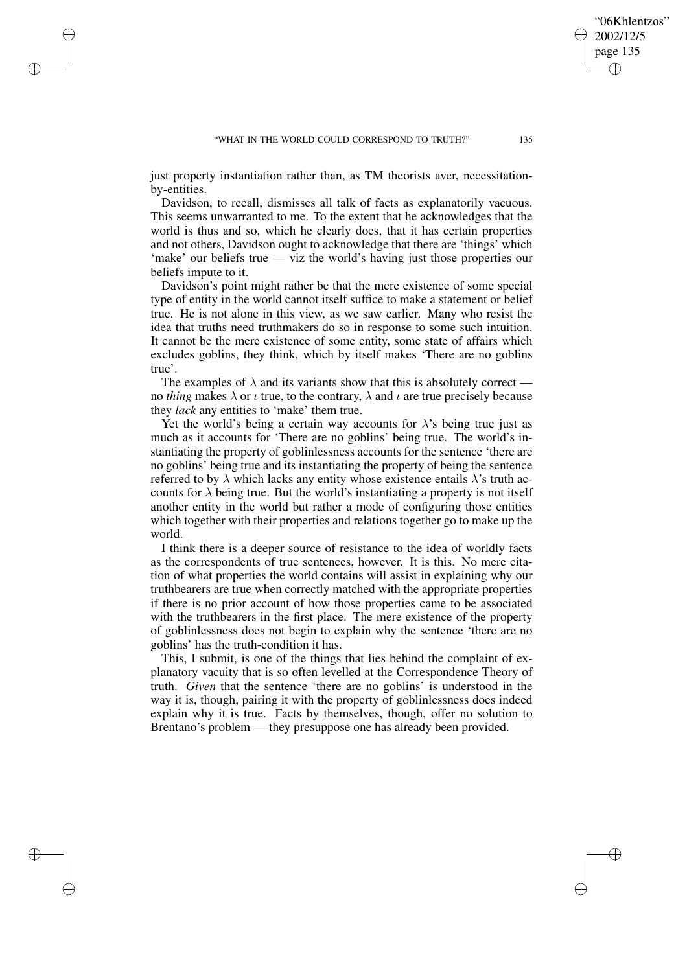✐

✐

✐

✐

✐

"06Khlentzos"

✐

just property instantiation rather than, as TM theorists aver, necessitationby-entities.

Davidson, to recall, dismisses all talk of facts as explanatorily vacuous. This seems unwarranted to me. To the extent that he acknowledges that the world is thus and so, which he clearly does, that it has certain properties and not others, Davidson ought to acknowledge that there are 'things' which 'make' our beliefs true — viz the world's having just those properties our beliefs impute to it.

Davidson's point might rather be that the mere existence of some special type of entity in the world cannot itself suffice to make a statement or belief true. He is not alone in this view, as we saw earlier. Many who resist the idea that truths need truthmakers do so in response to some such intuition. It cannot be the mere existence of some entity, some state of affairs which excludes goblins, they think, which by itself makes 'There are no goblins true'.

The examples of  $\lambda$  and its variants show that this is absolutely correct no *thing* makes  $\lambda$  or  $\iota$  true, to the contrary,  $\lambda$  and  $\iota$  are true precisely because they *lack* any entities to 'make' them true.

Yet the world's being a certain way accounts for  $\lambda$ 's being true just as much as it accounts for 'There are no goblins' being true. The world's instantiating the property of goblinlessness accounts for the sentence 'there are no goblins' being true and its instantiating the property of being the sentence referred to by  $\lambda$  which lacks any entity whose existence entails  $\lambda$ 's truth accounts for  $\lambda$  being true. But the world's instantiating a property is not itself another entity in the world but rather a mode of configuring those entities which together with their properties and relations together go to make up the world.

I think there is a deeper source of resistance to the idea of worldly facts as the correspondents of true sentences, however. It is this. No mere citation of what properties the world contains will assist in explaining why our truthbearers are true when correctly matched with the appropriate properties if there is no prior account of how those properties came to be associated with the truthbearers in the first place. The mere existence of the property of goblinlessness does not begin to explain why the sentence 'there are no goblins' has the truth-condition it has.

This, I submit, is one of the things that lies behind the complaint of explanatory vacuity that is so often levelled at the Correspondence Theory of truth. *Given* that the sentence 'there are no goblins' is understood in the way it is, though, pairing it with the property of goblinlessness does indeed explain why it is true. Facts by themselves, though, offer no solution to Brentano's problem — they presuppose one has already been provided.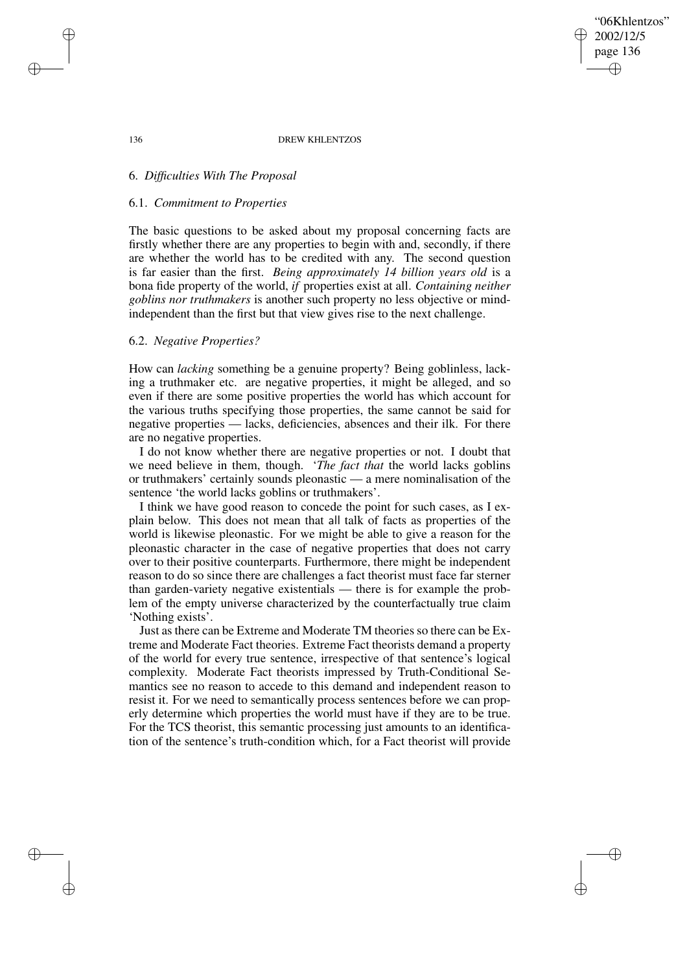## "06Khlentzos" 2002/12/5 page 136 ✐ ✐

✐

✐

## 136 DREW KHLENTZOS

## 6. *Difficulties With The Proposal*

## 6.1. *Commitment to Properties*

The basic questions to be asked about my proposal concerning facts are firstly whether there are any properties to begin with and, secondly, if there are whether the world has to be credited with any. The second question is far easier than the first. *Being approximately 14 billion years old* is a bona fide property of the world, *if* properties exist at all. *Containing neither goblins nor truthmakers* is another such property no less objective or mindindependent than the first but that view gives rise to the next challenge.

# 6.2. *Negative Properties?*

How can *lacking* something be a genuine property? Being goblinless, lacking a truthmaker etc. are negative properties, it might be alleged, and so even if there are some positive properties the world has which account for the various truths specifying those properties, the same cannot be said for negative properties — lacks, deficiencies, absences and their ilk. For there are no negative properties.

I do not know whether there are negative properties or not. I doubt that we need believe in them, though. '*The fact that* the world lacks goblins or truthmakers' certainly sounds pleonastic — a mere nominalisation of the sentence 'the world lacks goblins or truthmakers'.

I think we have good reason to concede the point for such cases, as I explain below. This does not mean that all talk of facts as properties of the world is likewise pleonastic. For we might be able to give a reason for the pleonastic character in the case of negative properties that does not carry over to their positive counterparts. Furthermore, there might be independent reason to do so since there are challenges a fact theorist must face far sterner than garden-variety negative existentials — there is for example the problem of the empty universe characterized by the counterfactually true claim 'Nothing exists'.

Just as there can be Extreme and Moderate TM theories so there can be Extreme and Moderate Fact theories. Extreme Fact theorists demand a property of the world for every true sentence, irrespective of that sentence's logical complexity. Moderate Fact theorists impressed by Truth-Conditional Semantics see no reason to accede to this demand and independent reason to resist it. For we need to semantically process sentences before we can properly determine which properties the world must have if they are to be true. For the TCS theorist, this semantic processing just amounts to an identification of the sentence's truth-condition which, for a Fact theorist will provide

✐

✐

✐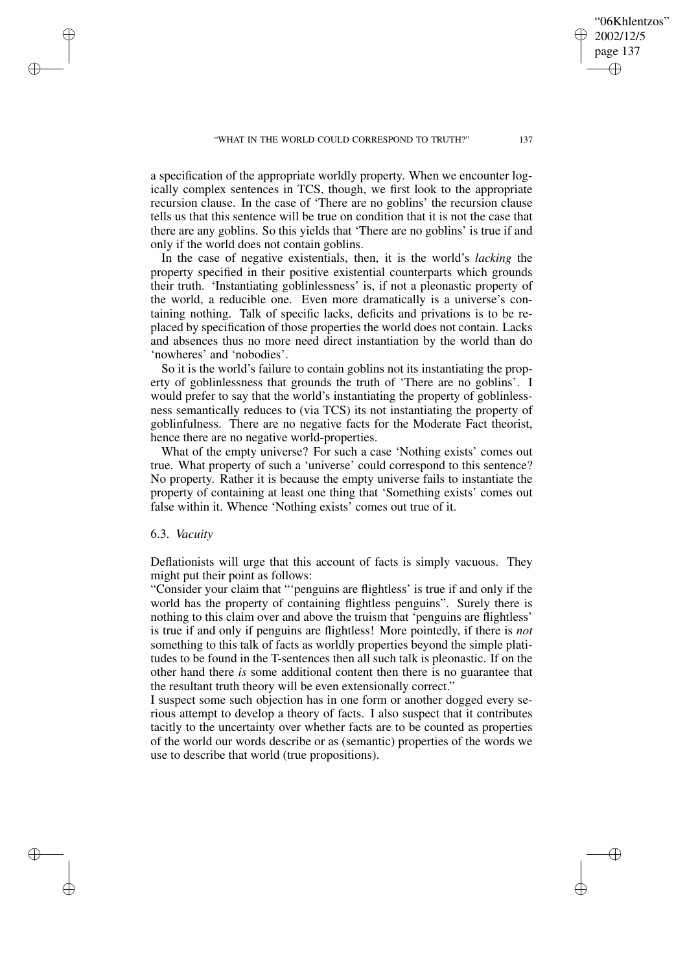a specification of the appropriate worldly property. When we encounter logically complex sentences in TCS, though, we first look to the appropriate recursion clause. In the case of 'There are no goblins' the recursion clause tells us that this sentence will be true on condition that it is not the case that there are any goblins. So this yields that 'There are no goblins' is true if and only if the world does not contain goblins.

In the case of negative existentials, then, it is the world's *lacking* the property specified in their positive existential counterparts which grounds their truth. 'Instantiating goblinlessness' is, if not a pleonastic property of the world, a reducible one. Even more dramatically is a universe's containing nothing. Talk of specific lacks, deficits and privations is to be replaced by specification of those properties the world does not contain. Lacks and absences thus no more need direct instantiation by the world than do 'nowheres' and 'nobodies'.

So it is the world's failure to contain goblins not its instantiating the property of goblinlessness that grounds the truth of 'There are no goblins'. I would prefer to say that the world's instantiating the property of goblinlessness semantically reduces to (via TCS) its not instantiating the property of goblinfulness. There are no negative facts for the Moderate Fact theorist, hence there are no negative world-properties.

What of the empty universe? For such a case 'Nothing exists' comes out true. What property of such a 'universe' could correspond to this sentence? No property. Rather it is because the empty universe fails to instantiate the property of containing at least one thing that 'Something exists' comes out false within it. Whence 'Nothing exists' comes out true of it.

## 6.3. *Vacuity*

✐

✐

✐

✐

Deflationists will urge that this account of facts is simply vacuous. They might put their point as follows:

"Consider your claim that "'penguins are flightless' is true if and only if the world has the property of containing flightless penguins". Surely there is nothing to this claim over and above the truism that 'penguins are flightless' is true if and only if penguins are flightless! More pointedly, if there is *not* something to this talk of facts as worldly properties beyond the simple platitudes to be found in the T-sentences then all such talk is pleonastic. If on the other hand there *is* some additional content then there is no guarantee that the resultant truth theory will be even extensionally correct."

I suspect some such objection has in one form or another dogged every serious attempt to develop a theory of facts. I also suspect that it contributes tacitly to the uncertainty over whether facts are to be counted as properties of the world our words describe or as (semantic) properties of the words we use to describe that world (true propositions).

"06Khlentzos" 2002/12/5 page 137

✐

✐

✐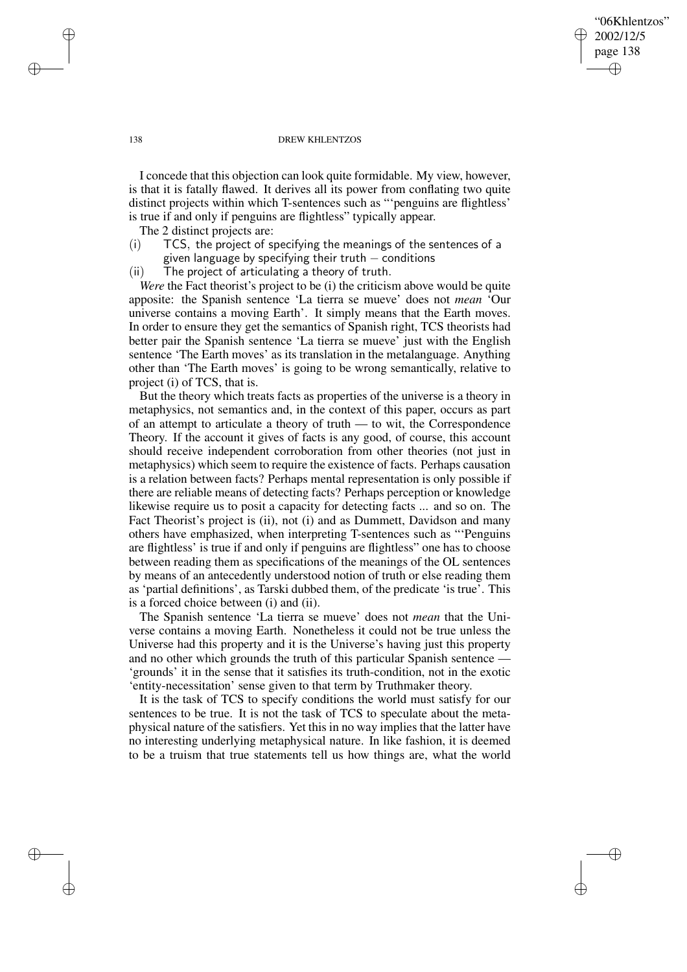# 2002/12/5 page 138 ✐ ✐

✐

✐

"06Khlentzos"

#### 138 DREW KHLENTZOS

I concede that this objection can look quite formidable. My view, however, is that it is fatally flawed. It derives all its power from conflating two quite distinct projects within which T-sentences such as "'penguins are flightless' is true if and only if penguins are flightless" typically appear.

The 2 distinct projects are:

- (i) TCS, the project of specifying the meanings of the sentences of a given language by specifying their truth  $-$  conditions
- (ii) The project of articulating a theory of truth.

*Were* the Fact theorist's project to be (i) the criticism above would be quite apposite: the Spanish sentence 'La tierra se mueve' does not *mean* 'Our universe contains a moving Earth'. It simply means that the Earth moves. In order to ensure they get the semantics of Spanish right, TCS theorists had better pair the Spanish sentence 'La tierra se mueve' just with the English sentence 'The Earth moves' as its translation in the metalanguage. Anything other than 'The Earth moves' is going to be wrong semantically, relative to project (i) of TCS, that is.

But the theory which treats facts as properties of the universe is a theory in metaphysics, not semantics and, in the context of this paper, occurs as part of an attempt to articulate a theory of truth — to wit, the Correspondence Theory. If the account it gives of facts is any good, of course, this account should receive independent corroboration from other theories (not just in metaphysics) which seem to require the existence of facts. Perhaps causation is a relation between facts? Perhaps mental representation is only possible if there are reliable means of detecting facts? Perhaps perception or knowledge likewise require us to posit a capacity for detecting facts ... and so on. The Fact Theorist's project is (ii), not (i) and as Dummett, Davidson and many others have emphasized, when interpreting T-sentences such as "'Penguins are flightless' is true if and only if penguins are flightless" one has to choose between reading them as specifications of the meanings of the OL sentences by means of an antecedently understood notion of truth or else reading them as 'partial definitions', as Tarski dubbed them, of the predicate 'is true'. This is a forced choice between (i) and (ii).

The Spanish sentence 'La tierra se mueve' does not *mean* that the Universe contains a moving Earth. Nonetheless it could not be true unless the Universe had this property and it is the Universe's having just this property and no other which grounds the truth of this particular Spanish sentence -'grounds' it in the sense that it satisfies its truth-condition, not in the exotic 'entity-necessitation' sense given to that term by Truthmaker theory.

It is the task of TCS to specify conditions the world must satisfy for our sentences to be true. It is not the task of TCS to speculate about the metaphysical nature of the satisfiers. Yet this in no way implies that the latter have no interesting underlying metaphysical nature. In like fashion, it is deemed to be a truism that true statements tell us how things are, what the world

✐

✐

✐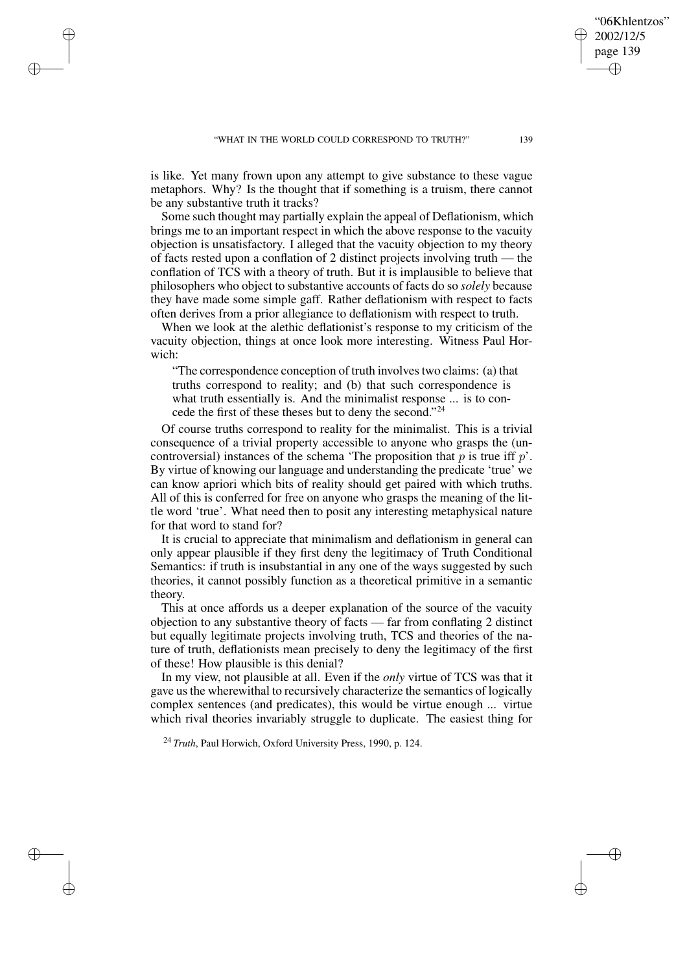✐

✐

✐

is like. Yet many frown upon any attempt to give substance to these vague metaphors. Why? Is the thought that if something is a truism, there cannot be any substantive truth it tracks?

Some such thought may partially explain the appeal of Deflationism, which brings me to an important respect in which the above response to the vacuity objection is unsatisfactory. I alleged that the vacuity objection to my theory of facts rested upon a conflation of 2 distinct projects involving truth — the conflation of TCS with a theory of truth. But it is implausible to believe that philosophers who object to substantive accounts of facts do so *solely* because they have made some simple gaff. Rather deflationism with respect to facts often derives from a prior allegiance to deflationism with respect to truth.

When we look at the alethic deflationist's response to my criticism of the vacuity objection, things at once look more interesting. Witness Paul Horwich:

"The correspondence conception of truth involves two claims: (a) that truths correspond to reality; and (b) that such correspondence is what truth essentially is. And the minimalist response ... is to concede the first of these theses but to deny the second." 24

Of course truths correspond to reality for the minimalist. This is a trivial consequence of a trivial property accessible to anyone who grasps the (uncontroversial) instances of the schema 'The proposition that  $p$  is true iff  $p'$ . By virtue of knowing our language and understanding the predicate 'true' we can know apriori which bits of reality should get paired with which truths. All of this is conferred for free on anyone who grasps the meaning of the little word 'true'. What need then to posit any interesting metaphysical nature for that word to stand for?

It is crucial to appreciate that minimalism and deflationism in general can only appear plausible if they first deny the legitimacy of Truth Conditional Semantics: if truth is insubstantial in any one of the ways suggested by such theories, it cannot possibly function as a theoretical primitive in a semantic theory.

This at once affords us a deeper explanation of the source of the vacuity objection to any substantive theory of facts — far from conflating 2 distinct but equally legitimate projects involving truth, TCS and theories of the nature of truth, deflationists mean precisely to deny the legitimacy of the first of these! How plausible is this denial?

In my view, not plausible at all. Even if the *only* virtue of TCS was that it gave us the wherewithal to recursively characterize the semantics of logically complex sentences (and predicates), this would be virtue enough ... virtue which rival theories invariably struggle to duplicate. The easiest thing for

<sup>24</sup> *Truth*, Paul Horwich, Oxford University Press, 1990, p. 124.

"06Khlentzos" 2002/12/5 page 139

✐

✐

✐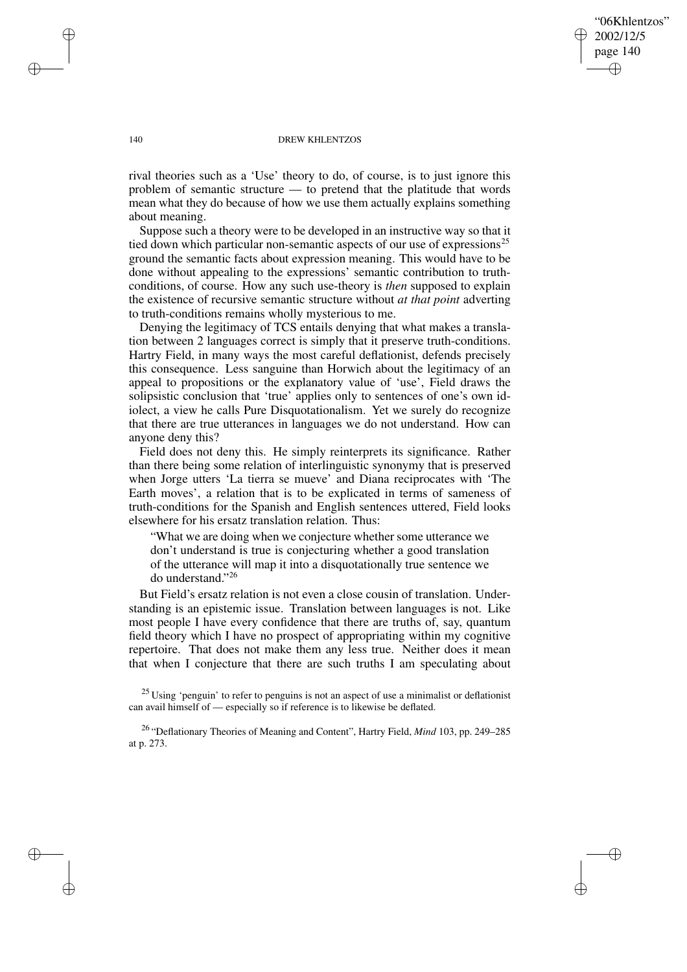"06Khlentzos" 2002/12/5 page 140 ✐ ✐

✐

✐

## 140 DREW KHLENTZOS

rival theories such as a 'Use' theory to do, of course, is to just ignore this problem of semantic structure — to pretend that the platitude that words mean what they do because of how we use them actually explains something about meaning.

Suppose such a theory were to be developed in an instructive way so that it tied down which particular non-semantic aspects of our use of expressions<sup>25</sup> ground the semantic facts about expression meaning. This would have to be done without appealing to the expressions' semantic contribution to truthconditions, of course. How any such use-theory is *then* supposed to explain the existence of recursive semantic structure without *at that point* adverting to truth-conditions remains wholly mysterious to me.

Denying the legitimacy of TCS entails denying that what makes a translation between 2 languages correct is simply that it preserve truth-conditions. Hartry Field, in many ways the most careful deflationist, defends precisely this consequence. Less sanguine than Horwich about the legitimacy of an appeal to propositions or the explanatory value of 'use', Field draws the solipsistic conclusion that 'true' applies only to sentences of one's own idiolect, a view he calls Pure Disquotationalism. Yet we surely do recognize that there are true utterances in languages we do not understand. How can anyone deny this?

Field does not deny this. He simply reinterprets its significance. Rather than there being some relation of interlinguistic synonymy that is preserved when Jorge utters 'La tierra se mueve' and Diana reciprocates with 'The Earth moves', a relation that is to be explicated in terms of sameness of truth-conditions for the Spanish and English sentences uttered, Field looks elsewhere for his ersatz translation relation. Thus:

"What we are doing when we conjecture whether some utterance we don't understand is true is conjecturing whether a good translation of the utterance will map it into a disquotationally true sentence we do understand." 26

But Field's ersatz relation is not even a close cousin of translation. Understanding is an epistemic issue. Translation between languages is not. Like most people I have every confidence that there are truths of, say, quantum field theory which I have no prospect of appropriating within my cognitive repertoire. That does not make them any less true. Neither does it mean that when I conjecture that there are such truths I am speculating about

 $25$  Using 'penguin' to refer to penguins is not an aspect of use a minimalist or deflationist can avail himself of — especially so if reference is to likewise be deflated.

<sup>26</sup> "Deflationary Theories of Meaning and Content", Hartry Field, *Mind* 103, pp. 249–285 at p. 273.

✐

✐

✐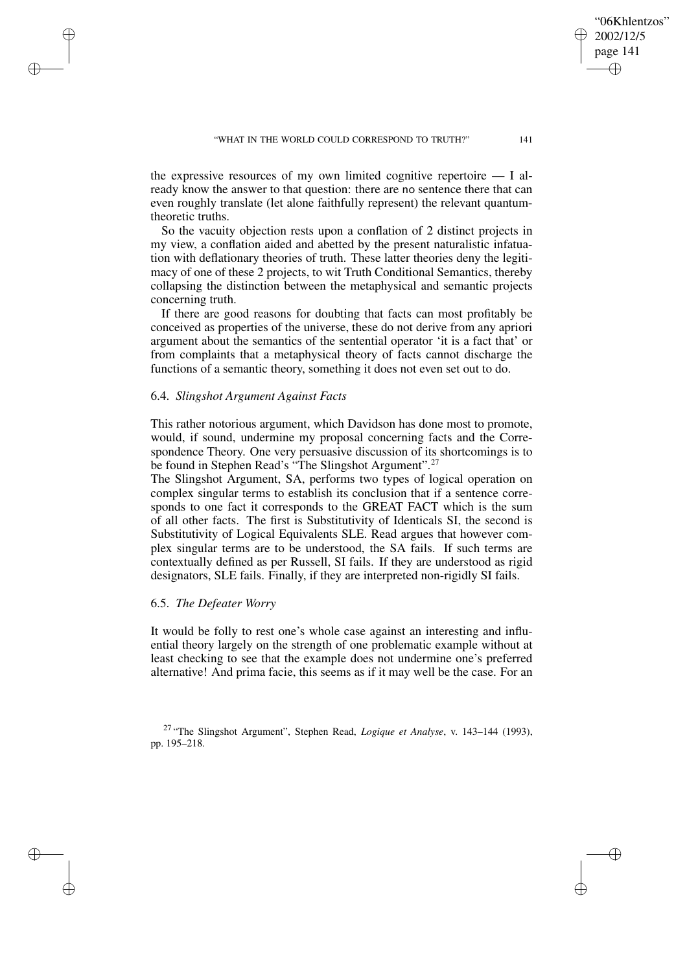the expressive resources of my own limited cognitive repertoire  $-$  I already know the answer to that question: there are no sentence there that can even roughly translate (let alone faithfully represent) the relevant quantumtheoretic truths.

So the vacuity objection rests upon a conflation of 2 distinct projects in my view, a conflation aided and abetted by the present naturalistic infatuation with deflationary theories of truth. These latter theories deny the legitimacy of one of these 2 projects, to wit Truth Conditional Semantics, thereby collapsing the distinction between the metaphysical and semantic projects concerning truth.

If there are good reasons for doubting that facts can most profitably be conceived as properties of the universe, these do not derive from any apriori argument about the semantics of the sentential operator 'it is a fact that' or from complaints that a metaphysical theory of facts cannot discharge the functions of a semantic theory, something it does not even set out to do.

# 6.4. *Slingshot Argument Against Facts*

✐

✐

✐

✐

This rather notorious argument, which Davidson has done most to promote, would, if sound, undermine my proposal concerning facts and the Correspondence Theory. One very persuasive discussion of its shortcomings is to be found in Stephen Read's "The Slingshot Argument".<sup>27</sup>

The Slingshot Argument, SA, performs two types of logical operation on complex singular terms to establish its conclusion that if a sentence corresponds to one fact it corresponds to the GREAT FACT which is the sum of all other facts. The first is Substitutivity of Identicals SI, the second is Substitutivity of Logical Equivalents SLE. Read argues that however complex singular terms are to be understood, the SA fails. If such terms are contextually defined as per Russell, SI fails. If they are understood as rigid designators, SLE fails. Finally, if they are interpreted non-rigidly SI fails.

# 6.5. *The Defeater Worry*

It would be folly to rest one's whole case against an interesting and influential theory largely on the strength of one problematic example without at least checking to see that the example does not undermine one's preferred alternative! And prima facie, this seems as if it may well be the case. For an

<sup>27</sup> "The Slingshot Argument", Stephen Read, *Logique et Analyse*, v. 143–144 (1993), pp. 195–218.

"06Khlentzos" 2002/12/5 page 141

✐

✐

✐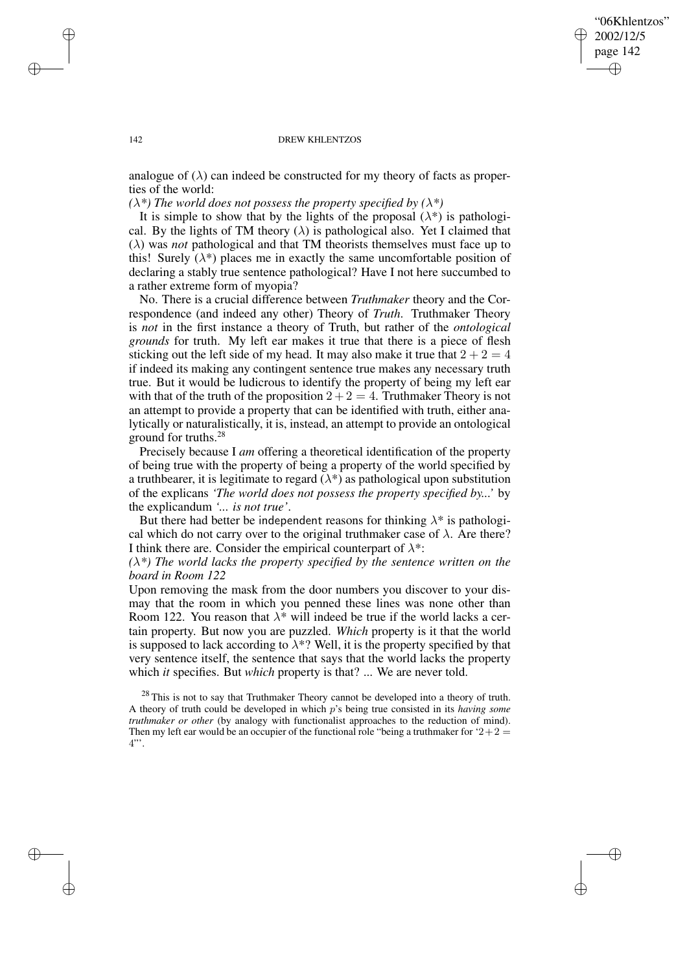✐

## 142 DREW KHLENTZOS

analogue of  $(\lambda)$  can indeed be constructed for my theory of facts as properties of the world:

*(* $\lambda$ *\*) The world does not possess the property specified by*  $(\lambda^*)$ 

It is simple to show that by the lights of the proposal  $(\lambda^*)$  is pathological. By the lights of TM theory  $(\lambda)$  is pathological also. Yet I claimed that  $(\lambda)$  was *not* pathological and that TM theorists themselves must face up to this! Surely  $(\lambda^*)$  places me in exactly the same uncomfortable position of declaring a stably true sentence pathological? Have I not here succumbed to a rather extreme form of myopia?

No. There is a crucial difference between *Truthmaker* theory and the Correspondence (and indeed any other) Theory of *Truth*. Truthmaker Theory is *not* in the first instance a theory of Truth, but rather of the *ontological grounds* for truth. My left ear makes it true that there is a piece of flesh sticking out the left side of my head. It may also make it true that  $2 + 2 = 4$ if indeed its making any contingent sentence true makes any necessary truth true. But it would be ludicrous to identify the property of being my left ear with that of the truth of the proposition  $2+2=4$ . Truthmaker Theory is not an attempt to provide a property that can be identified with truth, either analytically or naturalistically, it is, instead, an attempt to provide an ontological ground for truths.<sup>28</sup>

Precisely because I *am* offering a theoretical identification of the property of being true with the property of being a property of the world specified by a truthbearer, it is legitimate to regard  $(\lambda^*)$  as pathological upon substitution of the explicans *'The world does not possess the property specified by...'* by the explicandum *'... is not true'*.

But there had better be independent reasons for thinking  $\lambda^*$  is pathological which do not carry over to the original truthmaker case of  $\lambda$ . Are there? I think there are. Consider the empirical counterpart of  $\lambda^*$ :

*(*λ*\*) The world lacks the property specified by the sentence written on the board in Room 122*

Upon removing the mask from the door numbers you discover to your dismay that the room in which you penned these lines was none other than Room 122. You reason that  $\lambda^*$  will indeed be true if the world lacks a certain property. But now you are puzzled. *Which* property is it that the world is supposed to lack according to  $\lambda$ \*? Well, it is the property specified by that very sentence itself, the sentence that says that the world lacks the property which *it* specifies. But *which* property is that? ... We are never told.

 $28$  This is not to say that Truthmaker Theory cannot be developed into a theory of truth. A theory of truth could be developed in which p's being true consisted in its *having some truthmaker or other* (by analogy with functionalist approaches to the reduction of mind). Then my left ear would be an occupier of the functional role "being a truthmaker for  $2+2=$  $4"$ 

✐

✐

✐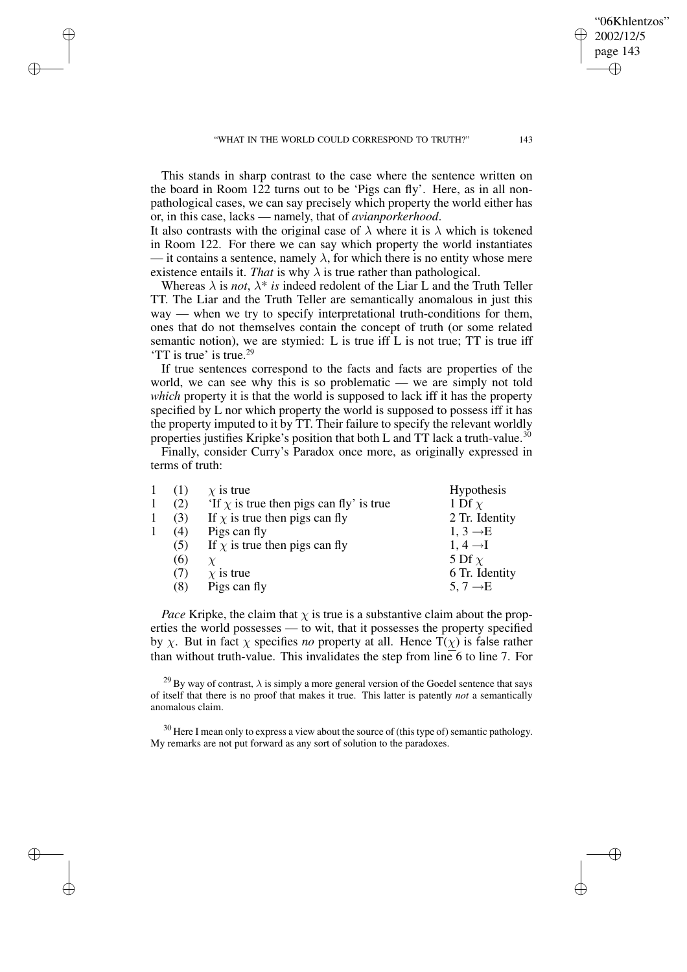✐

✐

✐

This stands in sharp contrast to the case where the sentence written on the board in Room 122 turns out to be 'Pigs can fly'. Here, as in all nonpathological cases, we can say precisely which property the world either has or, in this case, lacks — namely, that of *avianporkerhood*.

It also contrasts with the original case of  $\lambda$  where it is  $\lambda$  which is tokened in Room 122. For there we can say which property the world instantiates — it contains a sentence, namely  $\lambda$ , for which there is no entity whose mere existence entails it. *That* is why  $\lambda$  is true rather than pathological.

Whereas  $\lambda$  is *not*,  $\lambda^*$  *is* indeed redolent of the Liar L and the Truth Teller TT. The Liar and the Truth Teller are semantically anomalous in just this way — when we try to specify interpretational truth-conditions for them, ones that do not themselves contain the concept of truth (or some related semantic notion), we are stymied: L is true iff L is not true; TT is true iff 'TT is true' is true.<sup>29</sup>

If true sentences correspond to the facts and facts are properties of the world, we can see why this is so problematic — we are simply not told *which* property it is that the world is supposed to lack iff it has the property specified by L nor which property the world is supposed to possess iff it has the property imputed to it by TT. Their failure to specify the relevant worldly properties justifies Kripke's position that both L and TT lack a truth-value.<sup>30</sup>

Finally, consider Curry's Paradox once more, as originally expressed in terms of truth:

| (1) | $\chi$ is true                                | Hypothesis           |
|-----|-----------------------------------------------|----------------------|
| (2) | 'If $\chi$ is true then pigs can fly' is true | 1 Df $\chi$          |
| (3) | If $\chi$ is true then pigs can fly           | 2 Tr. Identity       |
| (4) | Pigs can fly                                  | $1, 3 \rightarrow E$ |
| (5) | If $\chi$ is true then pigs can fly           | $1, 4 \rightarrow I$ |
| (6) |                                               | 5 Df $\chi$          |
| (7) | $\chi$ is true                                | 6 Tr. Identity       |
| (8) | Pigs can fly                                  | 5, 7 $\rightarrow$ E |
|     |                                               |                      |

*Pace* Kripke, the claim that  $\chi$  is true is a substantive claim about the properties the world possesses — to wit, that it possesses the property specified by  $\chi$ . But in fact  $\chi$  specifies *no* property at all. Hence  $T(\chi)$  is false rather than without truth-value. This invalidates the step from line  $\overline{6}$  to line 7. For

<sup>29</sup> By way of contrast,  $\lambda$  is simply a more general version of the Goedel sentence that says of itself that there is no proof that makes it true. This latter is patently *not* a semantically anomalous claim.

 $30$  Here I mean only to express a view about the source of (this type of) semantic pathology. My remarks are not put forward as any sort of solution to the paradoxes.

"06Khlentzos" 2002/12/5 page 143

✐

✐

✐